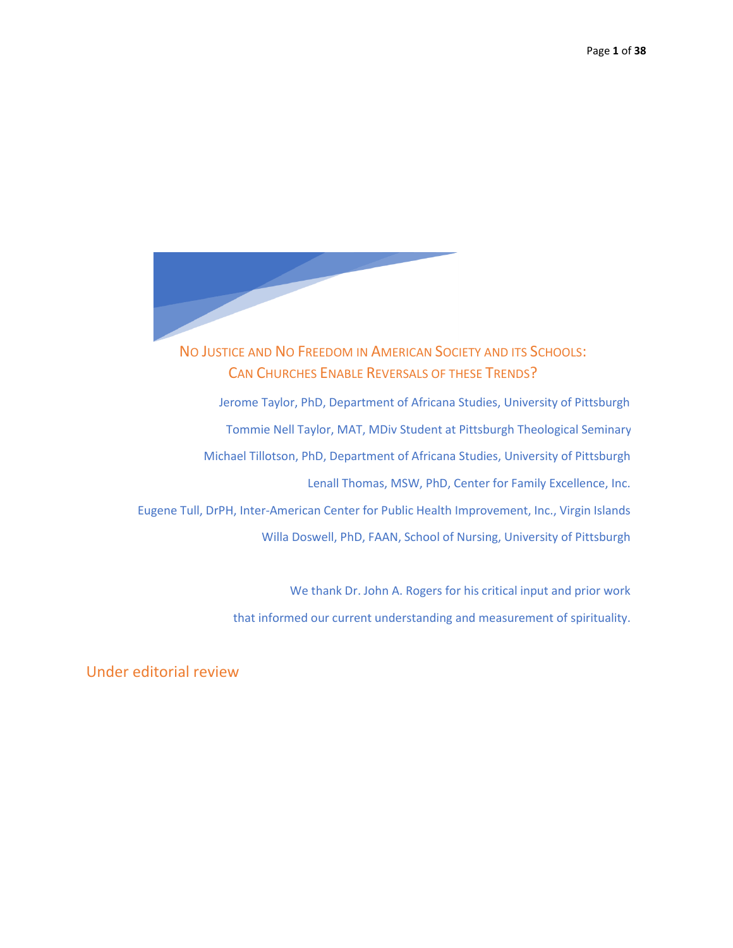

NO JUSTICE AND NO FREEDOM IN AMERICAN SOCIETY AND ITS SCHOOLS: CAN CHURCHES ENABLE REVERSALS OF THESE TRENDS? Jerome Taylor, PhD, Department of Africana Studies, University of Pittsburgh Tommie Nell Taylor, MAT, MDiv Student at Pittsburgh Theological Seminary Michael Tillotson, PhD, Department of Africana Studies, University of Pittsburgh Lenall Thomas, MSW, PhD, Center for Family Excellence, Inc.

Eugene Tull, DrPH, Inter-American Center for Public Health Improvement, Inc., Virgin Islands Willa Doswell, PhD, FAAN, School of Nursing, University of Pittsburgh

> We thank Dr. John A. Rogers for his critical input and prior work that informed our current understanding and measurement of spirituality.

Under editorial review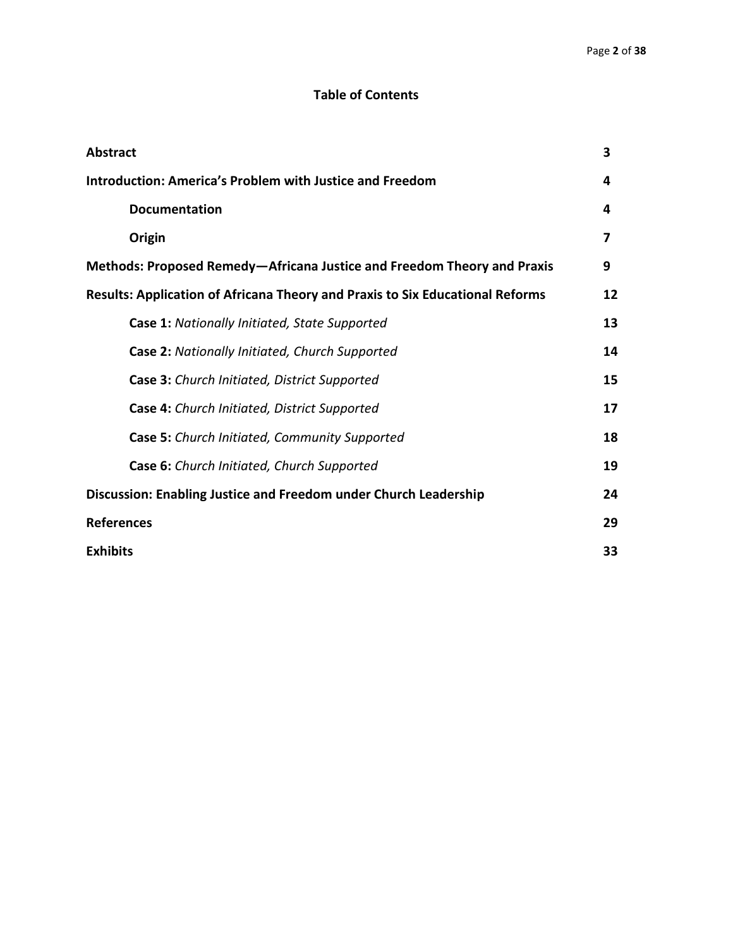# **Table of Contents**

| <b>Abstract</b>                                                                      | 3  |  |
|--------------------------------------------------------------------------------------|----|--|
| <b>Introduction: America's Problem with Justice and Freedom</b>                      |    |  |
| <b>Documentation</b>                                                                 | 4  |  |
| Origin                                                                               | 7  |  |
| Methods: Proposed Remedy-Africana Justice and Freedom Theory and Praxis              | 9  |  |
| <b>Results: Application of Africana Theory and Praxis to Six Educational Reforms</b> | 12 |  |
| Case 1: Nationally Initiated, State Supported                                        | 13 |  |
| Case 2: Nationally Initiated, Church Supported                                       | 14 |  |
| Case 3: Church Initiated, District Supported                                         | 15 |  |
| Case 4: Church Initiated, District Supported                                         | 17 |  |
| Case 5: Church Initiated, Community Supported                                        | 18 |  |
| Case 6: Church Initiated, Church Supported                                           | 19 |  |
| Discussion: Enabling Justice and Freedom under Church Leadership                     | 24 |  |
| <b>References</b>                                                                    | 29 |  |
| <b>Exhibits</b>                                                                      | 33 |  |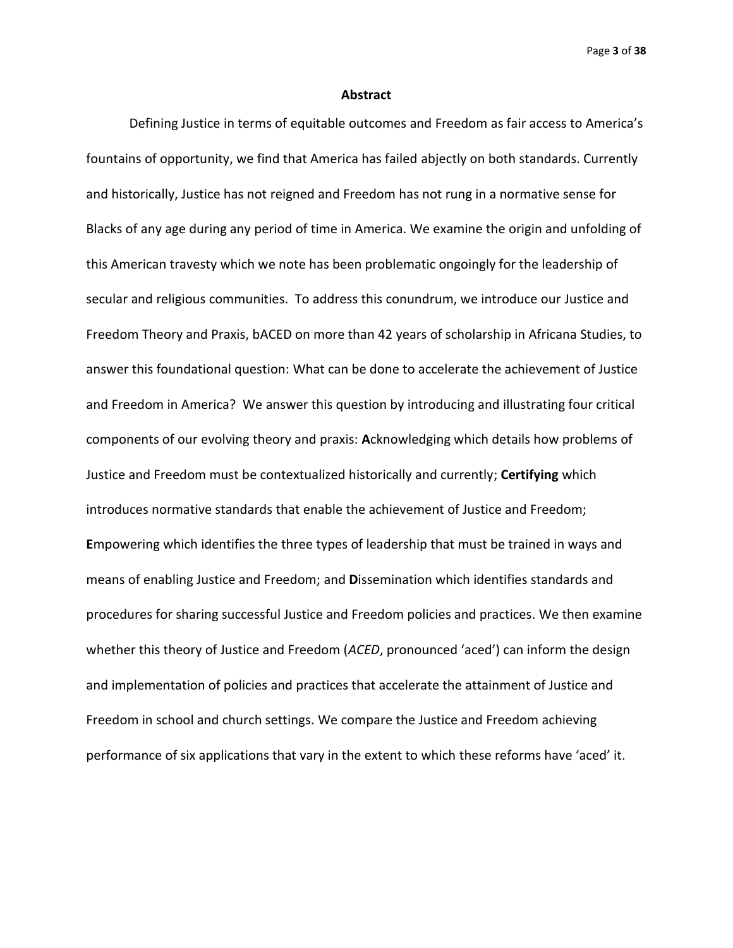Page **3** of **38**

#### **Abstract**

Defining Justice in terms of equitable outcomes and Freedom as fair access to America's fountains of opportunity, we find that America has failed abjectly on both standards. Currently and historically, Justice has not reigned and Freedom has not rung in a normative sense for Blacks of any age during any period of time in America. We examine the origin and unfolding of this American travesty which we note has been problematic ongoingly for the leadership of secular and religious communities. To address this conundrum, we introduce our Justice and Freedom Theory and Praxis, bACED on more than 42 years of scholarship in Africana Studies, to answer this foundational question: What can be done to accelerate the achievement of Justice and Freedom in America? We answer this question by introducing and illustrating four critical components of our evolving theory and praxis: **A**cknowledging which details how problems of Justice and Freedom must be contextualized historically and currently; **Certifying** which introduces normative standards that enable the achievement of Justice and Freedom; **E**mpowering which identifies the three types of leadership that must be trained in ways and means of enabling Justice and Freedom; and **D**issemination which identifies standards and procedures for sharing successful Justice and Freedom policies and practices. We then examine whether this theory of Justice and Freedom (*ACED*, pronounced 'aced') can inform the design and implementation of policies and practices that accelerate the attainment of Justice and Freedom in school and church settings. We compare the Justice and Freedom achieving performance of six applications that vary in the extent to which these reforms have 'aced' it.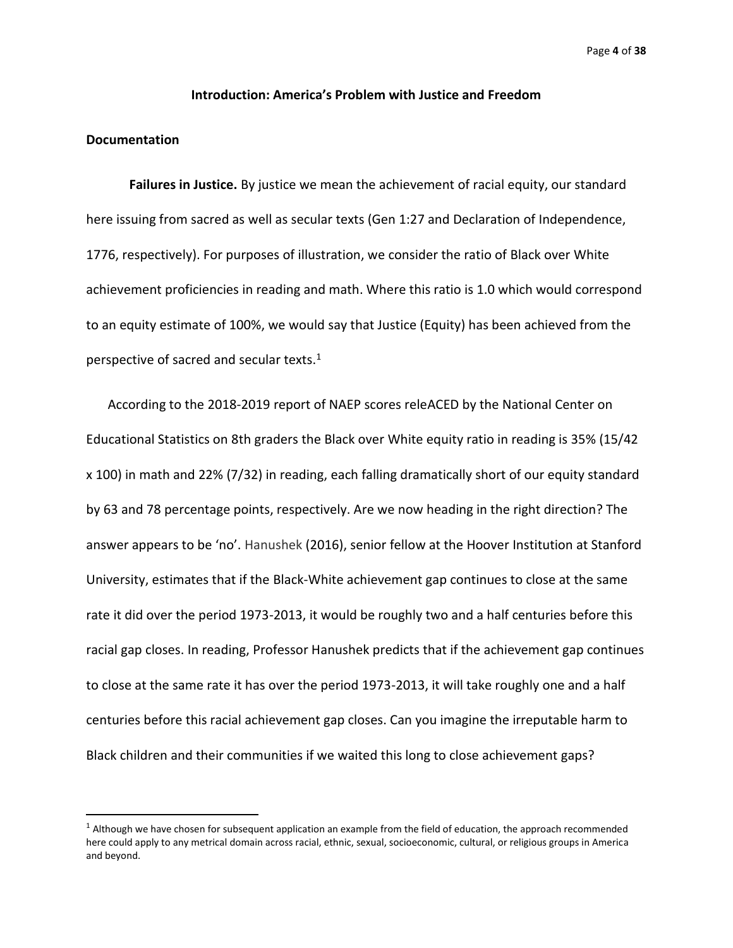# **Introduction: America's Problem with Justice and Freedom**

# **Documentation**

**Failures in Justice.** By justice we mean the achievement of racial equity, our standard here issuing from sacred as well as secular texts (Gen 1:27 and Declaration of Independence, 1776, respectively). For purposes of illustration, we consider the ratio of Black over White achievement proficiencies in reading and math. Where this ratio is 1.0 which would correspond to an equity estimate of 100%, we would say that Justice (Equity) has been achieved from the perspective of sacred and secular texts. $1$ 

According to the 2018-2019 report of NAEP scores releACED by the National Center on Educational Statistics on 8th graders the Black over White equity ratio in reading is 35% (15/42 x 100) in math and 22% (7/32) in reading, each falling dramatically short of our equity standard by 63 and 78 percentage points, respectively. Are we now heading in the right direction? The answer appears to be 'no'. Hanushek (2016), senior fellow at the Hoover Institution at Stanford University, estimates that if the Black-White achievement gap continues to close at the same rate it did over the period 1973-2013, it would be roughly two and a half centuries before this racial gap closes. In reading, Professor Hanushek predicts that if the achievement gap continues to close at the same rate it has over the period 1973-2013, it will take roughly one and a half centuries before this racial achievement gap closes. Can you imagine the irreputable harm to Black children and their communities if we waited this long to close achievement gaps?

 $1$  Although we have chosen for subsequent application an example from the field of education, the approach recommended here could apply to any metrical domain across racial, ethnic, sexual, socioeconomic, cultural, or religious groups in America and beyond.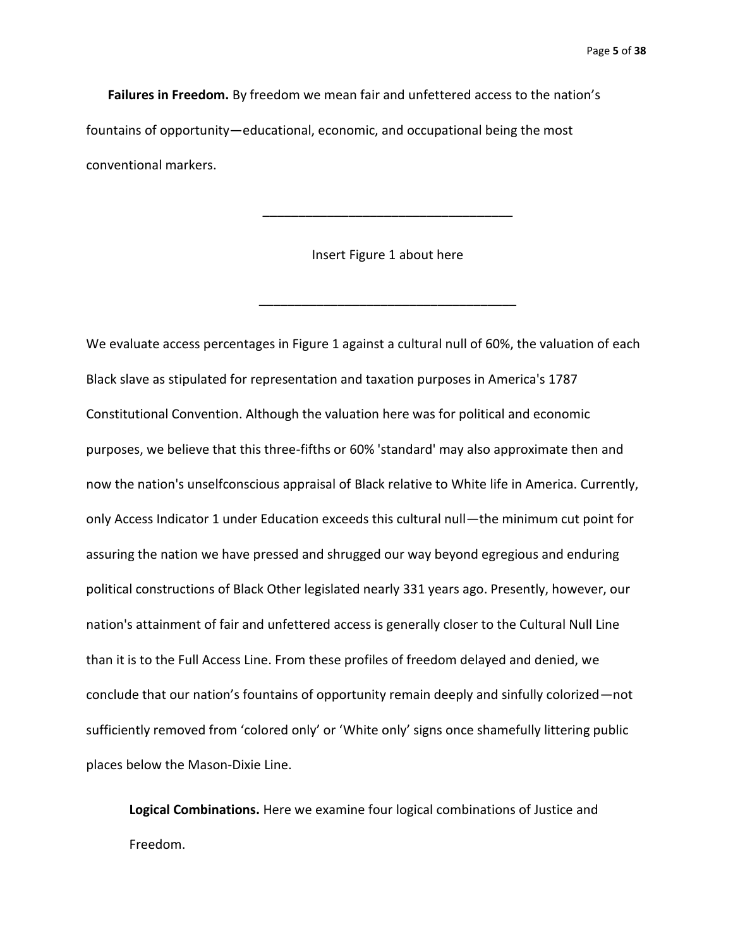Page **5** of **38**

**Failures in Freedom.** By freedom we mean fair and unfettered access to the nation's fountains of opportunity—educational, economic, and occupational being the most conventional markers.

Insert Figure 1 about here

\_\_\_\_\_\_\_\_\_\_\_\_\_\_\_\_\_\_\_\_\_\_\_\_\_\_\_\_\_\_\_\_\_\_\_\_

\_\_\_\_\_\_\_\_\_\_\_\_\_\_\_\_\_\_\_\_\_\_\_\_\_\_\_\_\_\_\_\_\_\_\_

We evaluate access percentages in Figure 1 against a cultural null of 60%, the valuation of each Black slave as stipulated for representation and taxation purposes in America's 1787 Constitutional Convention. Although the valuation here was for political and economic purposes, we believe that this three-fifths or 60% 'standard' may also approximate then and now the nation's unselfconscious appraisal of Black relative to White life in America. Currently, only Access Indicator 1 under Education exceeds this cultural null—the minimum cut point for assuring the nation we have pressed and shrugged our way beyond egregious and enduring political constructions of Black Other legislated nearly 331 years ago. Presently, however, our nation's attainment of fair and unfettered access is generally closer to the Cultural Null Line than it is to the Full Access Line. From these profiles of freedom delayed and denied, we conclude that our nation's fountains of opportunity remain deeply and sinfully colorized—not sufficiently removed from 'colored only' or 'White only' signs once shamefully littering public places below the Mason-Dixie Line.

**Logical Combinations.** Here we examine four logical combinations of Justice and Freedom.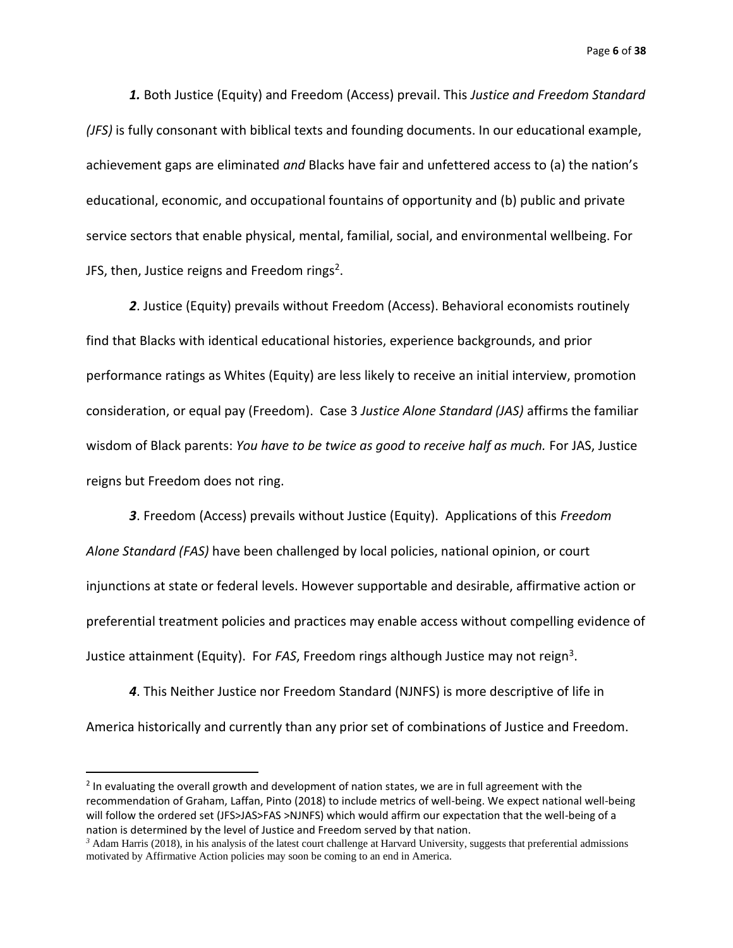Page **6** of **38**

*1.* Both Justice (Equity) and Freedom (Access) prevail. This *Justice and Freedom Standard (JFS)* is fully consonant with biblical texts and founding documents. In our educational example, achievement gaps are eliminated *and* Blacks have fair and unfettered access to (a) the nation's educational, economic, and occupational fountains of opportunity and (b) public and private service sectors that enable physical, mental, familial, social, and environmental wellbeing. For JFS, then, Justice reigns and Freedom rings<sup>2</sup>.

*2*. Justice (Equity) prevails without Freedom (Access). Behavioral economists routinely find that Blacks with identical educational histories, experience backgrounds, and prior performance ratings as Whites (Equity) are less likely to receive an initial interview, promotion consideration, or equal pay (Freedom). Case 3 *Justice Alone Standard (JAS)* affirms the familiar wisdom of Black parents: *You have to be twice as good to receive half as much.* For JAS, Justice reigns but Freedom does not ring.

*3*. Freedom (Access) prevails without Justice (Equity). Applications of this *Freedom Alone Standard (FAS)* have been challenged by local policies, national opinion, or court injunctions at state or federal levels. However supportable and desirable, affirmative action or preferential treatment policies and practices may enable access without compelling evidence of Justice attainment (Equity). For *FAS*, Freedom rings although Justice may not reign<sup>3</sup>.

*4*. This Neither Justice nor Freedom Standard (NJNFS) is more descriptive of life in America historically and currently than any prior set of combinations of Justice and Freedom.

<sup>&</sup>lt;sup>2</sup> In evaluating the overall growth and development of nation states, we are in full agreement with the recommendation of Graham, Laffan, Pinto (2018) to include metrics of well-being. We expect national well-being will follow the ordered set (JFS>JAS>FAS >NJNFS) which would affirm our expectation that the well-being of a nation is determined by the level of Justice and Freedom served by that nation.

*<sup>3</sup>* Adam Harris (2018), in his analysis of the latest court challenge at Harvard University, suggests that preferential admissions motivated by Affirmative Action policies may soon be coming to an end in America.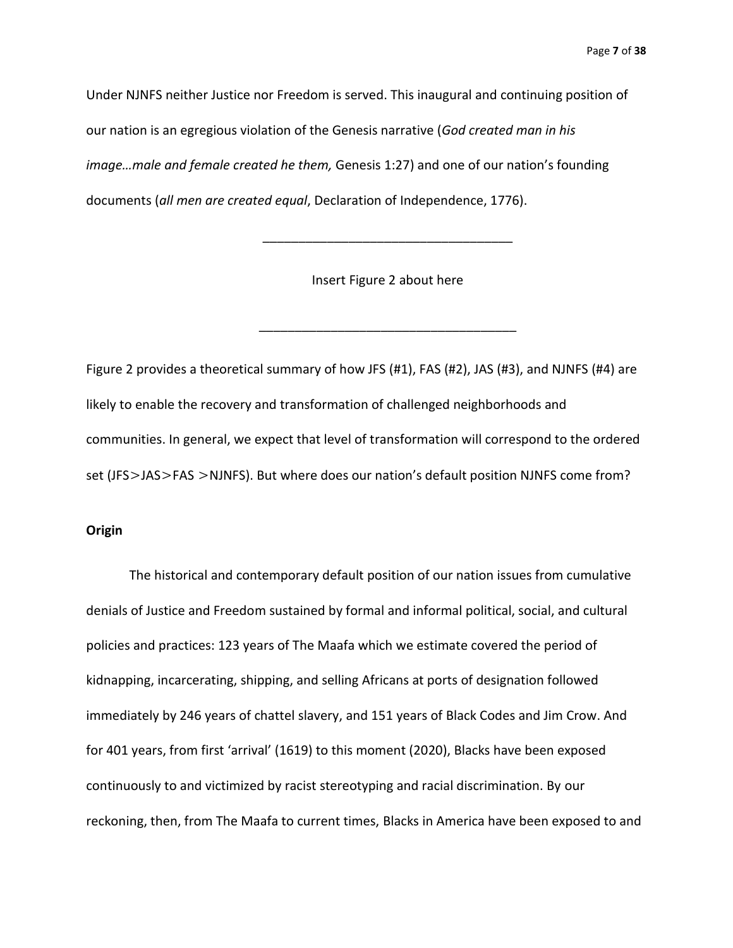Page **7** of **38**

Under NJNFS neither Justice nor Freedom is served. This inaugural and continuing position of our nation is an egregious violation of the Genesis narrative (*God created man in his image…male and female created he them,* Genesis 1:27) and one of our nation's founding documents (*all men are created equal*, Declaration of Independence, 1776).

Insert Figure 2 about here

\_\_\_\_\_\_\_\_\_\_\_\_\_\_\_\_\_\_\_\_\_\_\_\_\_\_\_\_\_\_\_\_\_\_\_\_

\_\_\_\_\_\_\_\_\_\_\_\_\_\_\_\_\_\_\_\_\_\_\_\_\_\_\_\_\_\_\_\_\_\_\_

Figure 2 provides a theoretical summary of how JFS (#1), FAS (#2), JAS (#3), and NJNFS (#4) are likely to enable the recovery and transformation of challenged neighborhoods and communities. In general, we expect that level of transformation will correspond to the ordered set (JFS>JAS>FAS >NJNFS). But where does our nation's default position NJNFS come from?

### **Origin**

The historical and contemporary default position of our nation issues from cumulative denials of Justice and Freedom sustained by formal and informal political, social, and cultural policies and practices: 123 years of The Maafa which we estimate covered the period of kidnapping, incarcerating, shipping, and selling Africans at ports of designation followed immediately by 246 years of chattel slavery, and 151 years of Black Codes and Jim Crow. And for 401 years, from first 'arrival' (1619) to this moment (2020), Blacks have been exposed continuously to and victimized by racist stereotyping and racial discrimination. By our reckoning, then, from The Maafa to current times, Blacks in America have been exposed to and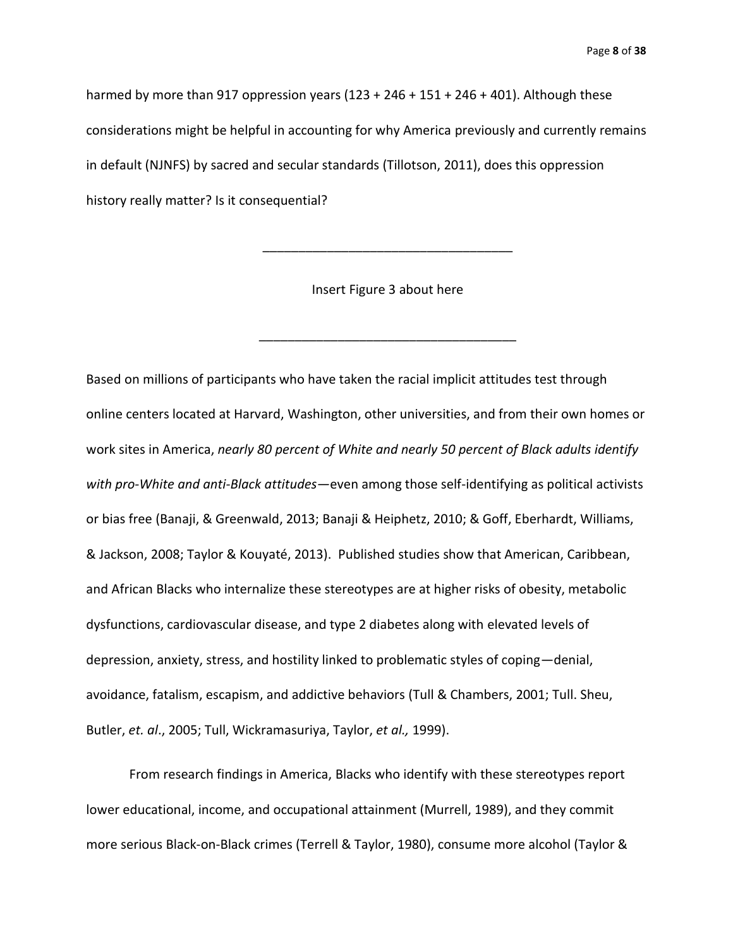harmed by more than 917 oppression years  $(123 + 246 + 151 + 246 + 401)$ . Although these considerations might be helpful in accounting for why America previously and currently remains in default (NJNFS) by sacred and secular standards (Tillotson, 2011), does this oppression history really matter? Is it consequential?

Insert Figure 3 about here

\_\_\_\_\_\_\_\_\_\_\_\_\_\_\_\_\_\_\_\_\_\_\_\_\_\_\_\_\_\_\_\_\_\_\_\_

\_\_\_\_\_\_\_\_\_\_\_\_\_\_\_\_\_\_\_\_\_\_\_\_\_\_\_\_\_\_\_\_\_\_\_

Based on millions of participants who have taken the racial implicit attitudes test through online centers located at Harvard, Washington, other universities, and from their own homes or work sites in America, *nearly 80 percent of White and nearly 50 percent of Black adults identify with pro-White and anti-Black attitudes—*even among those self-identifying as political activists or bias free (Banaji, & Greenwald, 2013; Banaji & Heiphetz, 2010; & Goff, Eberhardt, Williams, & Jackson, 2008; Taylor & Kouyaté, 2013). Published studies show that American, Caribbean, and African Blacks who internalize these stereotypes are at higher risks of obesity, metabolic dysfunctions, cardiovascular disease, and type 2 diabetes along with elevated levels of depression, anxiety, stress, and hostility linked to problematic styles of coping—denial, avoidance, fatalism, escapism, and addictive behaviors (Tull & Chambers, 2001; Tull. Sheu, Butler, *et. al*., 2005; Tull, Wickramasuriya, Taylor, *et al.,* 1999).

From research findings in America, Blacks who identify with these stereotypes report lower educational, income, and occupational attainment (Murrell, 1989), and they commit more serious Black-on-Black crimes (Terrell & Taylor, 1980), consume more alcohol (Taylor &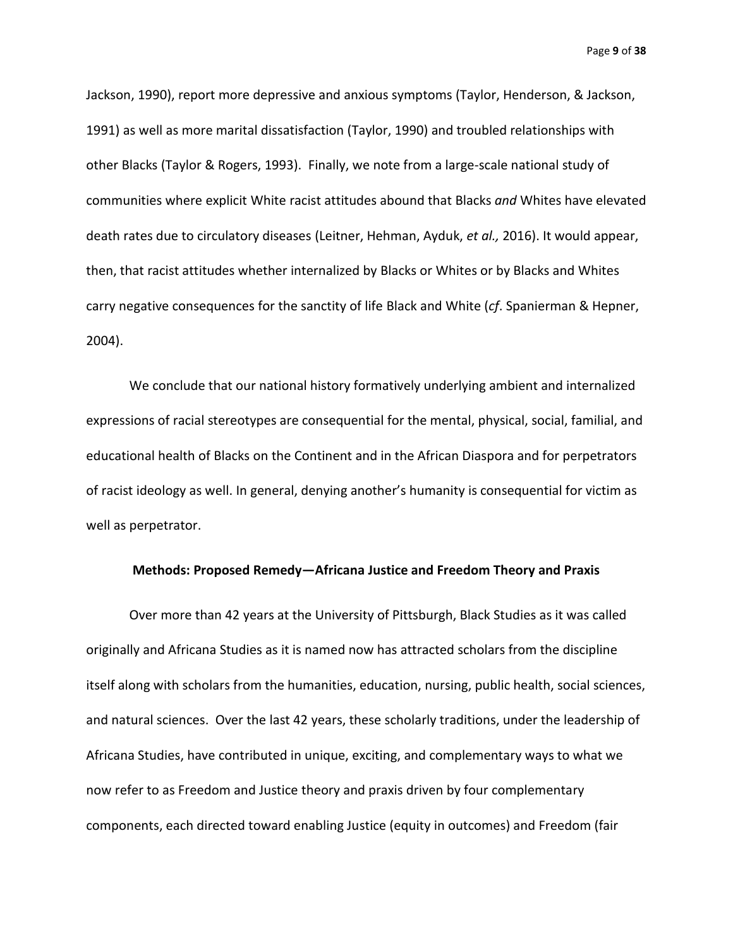Page **9** of **38**

Jackson, 1990), report more depressive and anxious symptoms (Taylor, Henderson, & Jackson, 1991) as well as more marital dissatisfaction (Taylor, 1990) and troubled relationships with other Blacks (Taylor & Rogers, 1993). Finally, we note from a large-scale national study of communities where explicit White racist attitudes abound that Blacks *and* Whites have elevated death rates due to circulatory diseases (Leitner, Hehman, Ayduk, *et al.,* 2016). It would appear, then, that racist attitudes whether internalized by Blacks or Whites or by Blacks and Whites carry negative consequences for the sanctity of life Black and White (*cf*. Spanierman & Hepner, 2004).

We conclude that our national history formatively underlying ambient and internalized expressions of racial stereotypes are consequential for the mental, physical, social, familial, and educational health of Blacks on the Continent and in the African Diaspora and for perpetrators of racist ideology as well. In general, denying another's humanity is consequential for victim as well as perpetrator.

## **Methods: Proposed Remedy—Africana Justice and Freedom Theory and Praxis**

Over more than 42 years at the University of Pittsburgh, Black Studies as it was called originally and Africana Studies as it is named now has attracted scholars from the discipline itself along with scholars from the humanities, education, nursing, public health, social sciences, and natural sciences. Over the last 42 years, these scholarly traditions, under the leadership of Africana Studies, have contributed in unique, exciting, and complementary ways to what we now refer to as Freedom and Justice theory and praxis driven by four complementary components, each directed toward enabling Justice (equity in outcomes) and Freedom (fair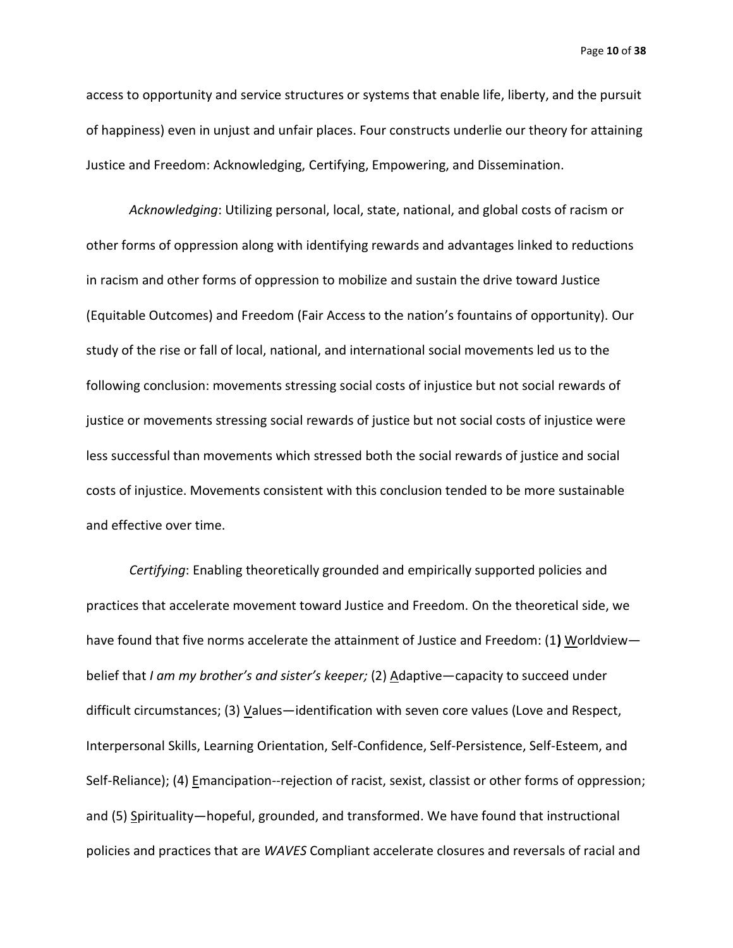Page **10** of **38**

access to opportunity and service structures or systems that enable life, liberty, and the pursuit of happiness) even in unjust and unfair places. Four constructs underlie our theory for attaining Justice and Freedom: Acknowledging, Certifying, Empowering, and Dissemination.

*Acknowledging*: Utilizing personal, local, state, national, and global costs of racism or other forms of oppression along with identifying rewards and advantages linked to reductions in racism and other forms of oppression to mobilize and sustain the drive toward Justice (Equitable Outcomes) and Freedom (Fair Access to the nation's fountains of opportunity). Our study of the rise or fall of local, national, and international social movements led us to the following conclusion: movements stressing social costs of injustice but not social rewards of justice or movements stressing social rewards of justice but not social costs of injustice were less successful than movements which stressed both the social rewards of justice and social costs of injustice. Movements consistent with this conclusion tended to be more sustainable and effective over time.

*Certifying*: Enabling theoretically grounded and empirically supported policies and practices that accelerate movement toward Justice and Freedom. On the theoretical side, we have found that five norms accelerate the attainment of Justice and Freedom: (1**)** Worldview belief that *I am my brother's and sister's keeper;* (2) Adaptive—capacity to succeed under difficult circumstances; (3)  $V$ alues—identification with seven core values (Love and Respect,</u> Interpersonal Skills, Learning Orientation, Self-Confidence, Self-Persistence, Self-Esteem, and Self-Reliance); (4) Emancipation--rejection of racist, sexist, classist or other forms of oppression; and (5) Spirituality—hopeful, grounded, and transformed. We have found that instructional policies and practices that are *WAVES* Compliant accelerate closures and reversals of racial and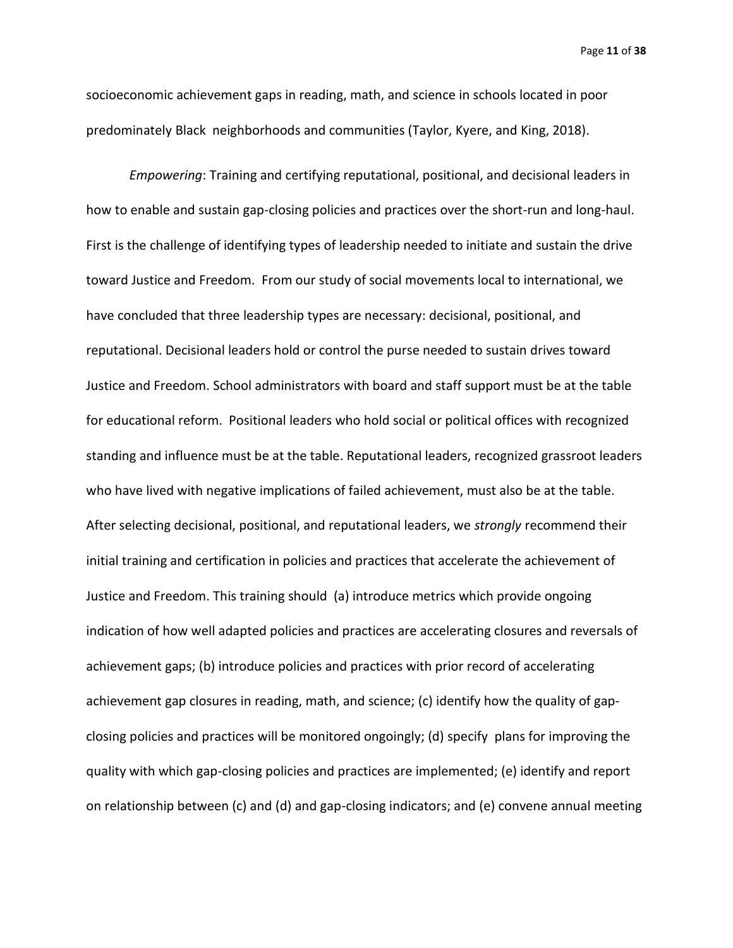Page **11** of **38**

socioeconomic achievement gaps in reading, math, and science in schools located in poor predominately Black neighborhoods and communities (Taylor, Kyere, and King, 2018).

*Empowering*: Training and certifying reputational, positional, and decisional leaders in how to enable and sustain gap-closing policies and practices over the short-run and long-haul. First is the challenge of identifying types of leadership needed to initiate and sustain the drive toward Justice and Freedom. From our study of social movements local to international, we have concluded that three leadership types are necessary: decisional, positional, and reputational. Decisional leaders hold or control the purse needed to sustain drives toward Justice and Freedom. School administrators with board and staff support must be at the table for educational reform. Positional leaders who hold social or political offices with recognized standing and influence must be at the table. Reputational leaders, recognized grassroot leaders who have lived with negative implications of failed achievement, must also be at the table. After selecting decisional, positional, and reputational leaders, we *strongly* recommend their initial training and certification in policies and practices that accelerate the achievement of Justice and Freedom. This training should (a) introduce metrics which provide ongoing indication of how well adapted policies and practices are accelerating closures and reversals of achievement gaps; (b) introduce policies and practices with prior record of accelerating achievement gap closures in reading, math, and science; (c) identify how the quality of gapclosing policies and practices will be monitored ongoingly; (d) specify plans for improving the quality with which gap-closing policies and practices are implemented; (e) identify and report on relationship between (c) and (d) and gap-closing indicators; and (e) convene annual meeting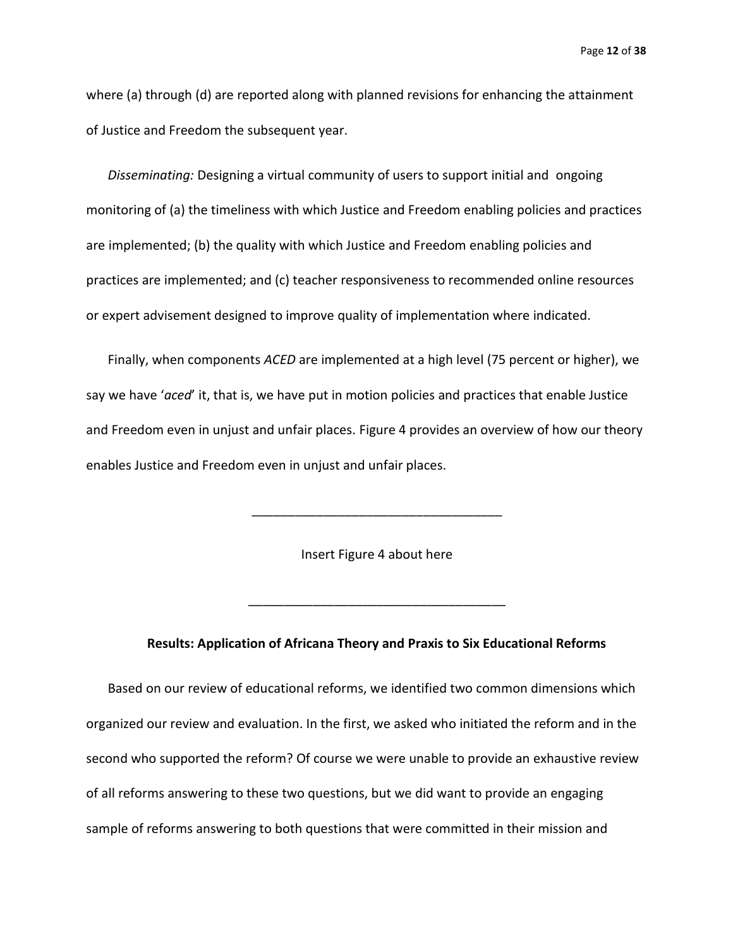Page **12** of **38**

where (a) through (d) are reported along with planned revisions for enhancing the attainment of Justice and Freedom the subsequent year.

*Disseminating:* Designing a virtual community of users to support initial and ongoing monitoring of (a) the timeliness with which Justice and Freedom enabling policies and practices are implemented; (b) the quality with which Justice and Freedom enabling policies and practices are implemented; and (c) teacher responsiveness to recommended online resources or expert advisement designed to improve quality of implementation where indicated.

Finally, when components *ACED* are implemented at a high level (75 percent or higher), we say we have '*aced*' it, that is, we have put in motion policies and practices that enable Justice and Freedom even in unjust and unfair places. Figure 4 provides an overview of how our theory enables Justice and Freedom even in unjust and unfair places.

Insert Figure 4 about here

\_\_\_\_\_\_\_\_\_\_\_\_\_\_\_\_\_\_\_\_\_\_\_\_\_\_\_\_\_\_\_\_\_\_\_

#### **Results: Application of Africana Theory and Praxis to Six Educational Reforms**

\_\_\_\_\_\_\_\_\_\_\_\_\_\_\_\_\_\_\_\_\_\_\_\_\_\_\_\_\_\_\_\_\_\_\_\_

Based on our review of educational reforms, we identified two common dimensions which organized our review and evaluation. In the first, we asked who initiated the reform and in the second who supported the reform? Of course we were unable to provide an exhaustive review of all reforms answering to these two questions, but we did want to provide an engaging sample of reforms answering to both questions that were committed in their mission and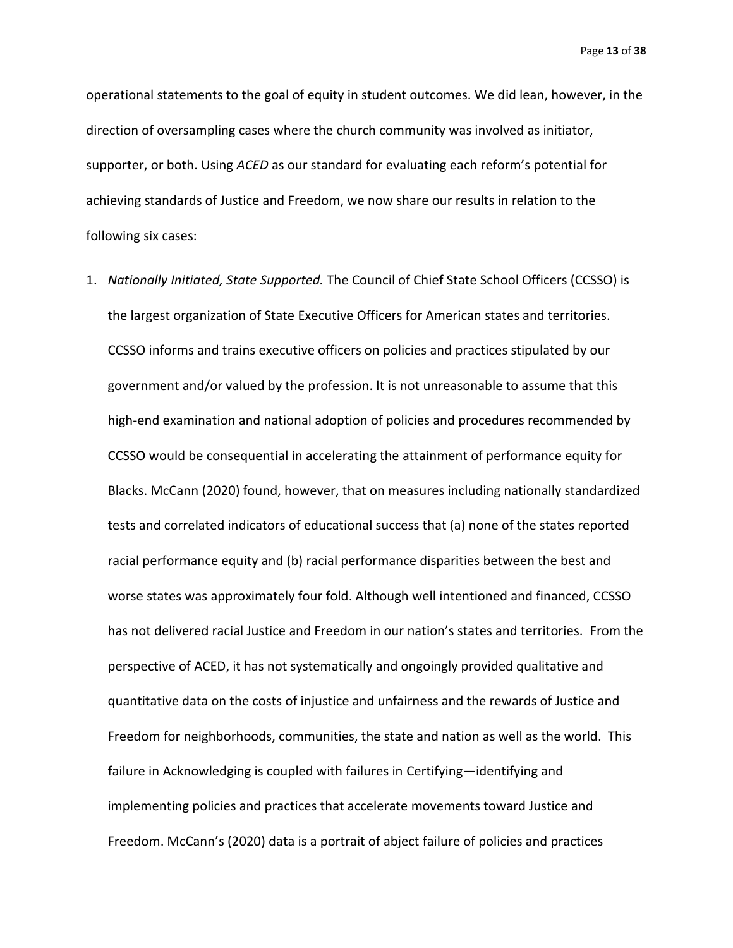Page **13** of **38**

operational statements to the goal of equity in student outcomes. We did lean, however, in the direction of oversampling cases where the church community was involved as initiator, supporter, or both. Using *ACED* as our standard for evaluating each reform's potential for achieving standards of Justice and Freedom, we now share our results in relation to the following six cases:

1. *Nationally Initiated, State Supported.* The Council of Chief State School Officers (CCSSO) is the largest organization of State Executive Officers for American states and territories. CCSSO informs and trains executive officers on policies and practices stipulated by our government and/or valued by the profession. It is not unreasonable to assume that this high-end examination and national adoption of policies and procedures recommended by CCSSO would be consequential in accelerating the attainment of performance equity for Blacks. McCann (2020) found, however, that on measures including nationally standardized tests and correlated indicators of educational success that (a) none of the states reported racial performance equity and (b) racial performance disparities between the best and worse states was approximately four fold. Although well intentioned and financed, CCSSO has not delivered racial Justice and Freedom in our nation's states and territories. From the perspective of ACED, it has not systematically and ongoingly provided qualitative and quantitative data on the costs of injustice and unfairness and the rewards of Justice and Freedom for neighborhoods, communities, the state and nation as well as the world. This failure in Acknowledging is coupled with failures in Certifying—identifying and implementing policies and practices that accelerate movements toward Justice and Freedom. McCann's (2020) data is a portrait of abject failure of policies and practices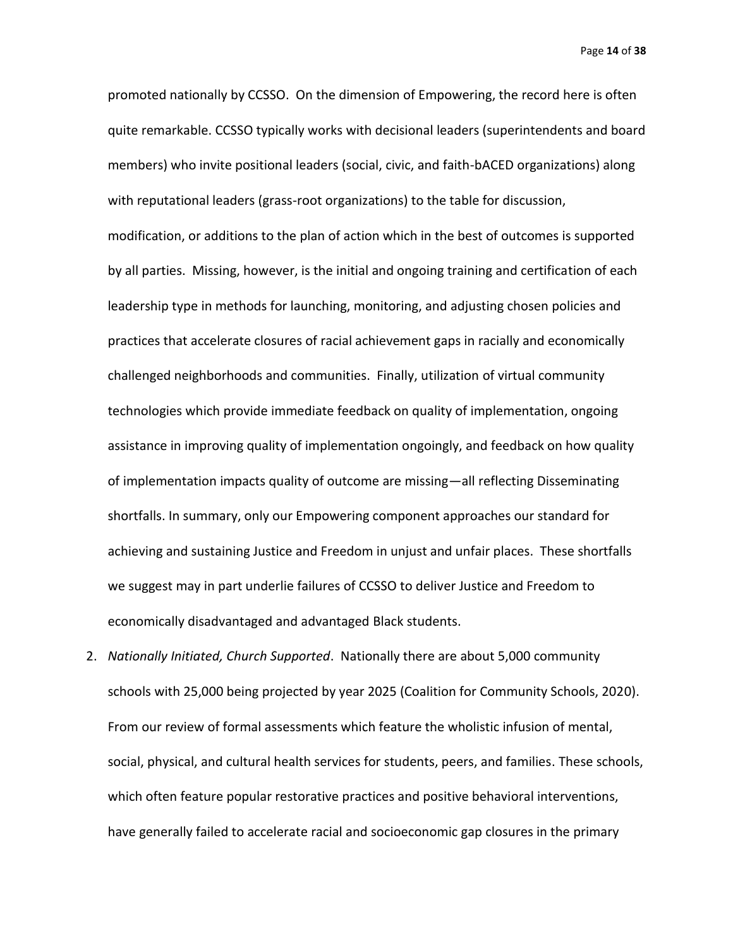Page **14** of **38**

promoted nationally by CCSSO. On the dimension of Empowering, the record here is often quite remarkable. CCSSO typically works with decisional leaders (superintendents and board members) who invite positional leaders (social, civic, and faith-bACED organizations) along with reputational leaders (grass-root organizations) to the table for discussion, modification, or additions to the plan of action which in the best of outcomes is supported by all parties. Missing, however, is the initial and ongoing training and certification of each leadership type in methods for launching, monitoring, and adjusting chosen policies and practices that accelerate closures of racial achievement gaps in racially and economically challenged neighborhoods and communities. Finally, utilization of virtual community technologies which provide immediate feedback on quality of implementation, ongoing assistance in improving quality of implementation ongoingly, and feedback on how quality of implementation impacts quality of outcome are missing—all reflecting Disseminating shortfalls. In summary, only our Empowering component approaches our standard for achieving and sustaining Justice and Freedom in unjust and unfair places. These shortfalls we suggest may in part underlie failures of CCSSO to deliver Justice and Freedom to economically disadvantaged and advantaged Black students.

2. *Nationally Initiated, Church Supported*. Nationally there are about 5,000 community schools with 25,000 being projected by year 2025 (Coalition for Community Schools, 2020). From our review of formal assessments which feature the wholistic infusion of mental, social, physical, and cultural health services for students, peers, and families. These schools, which often feature popular restorative practices and positive behavioral interventions, have generally failed to accelerate racial and socioeconomic gap closures in the primary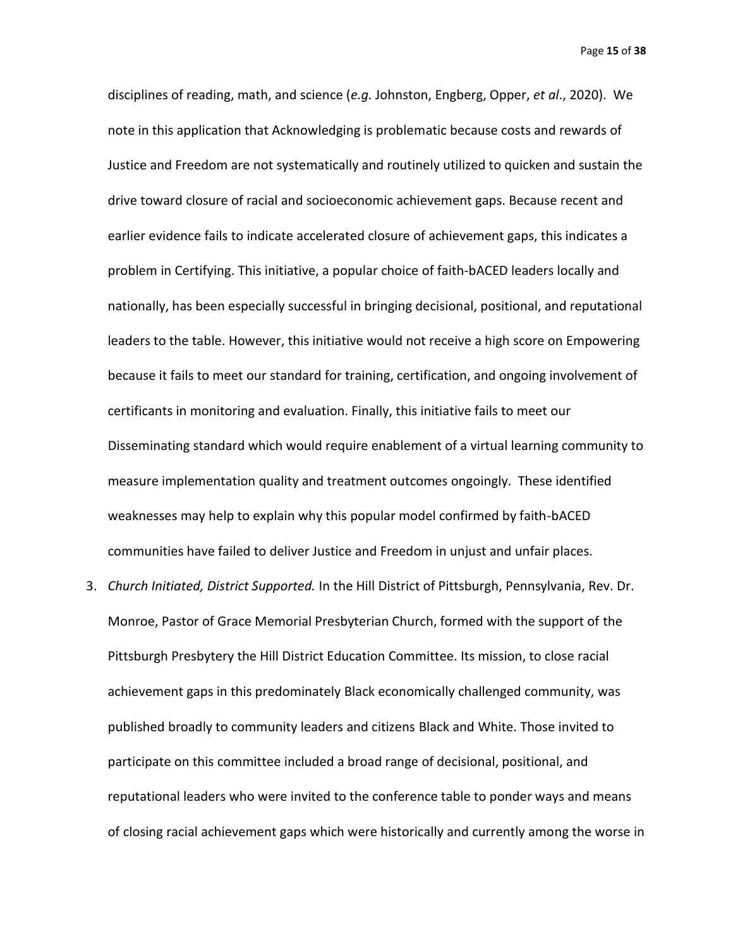disciplines of reading, math, and science (*e.g.* Johnston, Engberg, Opper, *et al*., 2020). We note in this application that Acknowledging is problematic because costs and rewards of Justice and Freedom are not systematically and routinely utilized to quicken and sustain the drive toward closure of racial and socioeconomic achievement gaps. Because recent and earlier evidence fails to indicate accelerated closure of achievement gaps, this indicates a problem in Certifying. This initiative, a popular choice of faith-bACED leaders locally and nationally, has been especially successful in bringing decisional, positional, and reputational leaders to the table. However, this initiative would not receive a high score on Empowering because it fails to meet our standard for training, certification, and ongoing involvement of certificants in monitoring and evaluation. Finally, this initiative fails to meet our Disseminating standard which would require enablement of a virtual learning community to measure implementation quality and treatment outcomes ongoingly. These identified weaknesses may help to explain why this popular model confirmed by faith-bACED communities have failed to deliver Justice and Freedom in unjust and unfair places.

3. *Church Initiated, District Supported.* In the Hill District of Pittsburgh, Pennsylvania, Rev. Dr. Monroe, Pastor of Grace Memorial Presbyterian Church, formed with the support of the Pittsburgh Presbytery the Hill District Education Committee. Its mission, to close racial achievement gaps in this predominately Black economically challenged community, was published broadly to community leaders and citizens Black and White. Those invited to participate on this committee included a broad range of decisional, positional, and reputational leaders who were invited to the conference table to ponder ways and means of closing racial achievement gaps which were historically and currently among the worse in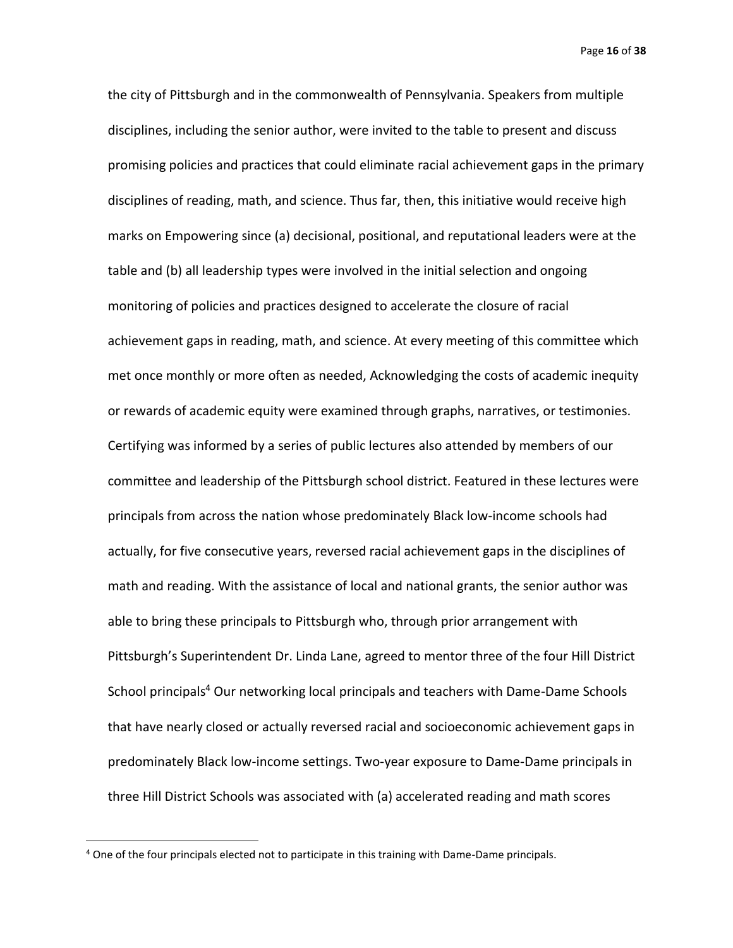Page **16** of **38**

the city of Pittsburgh and in the commonwealth of Pennsylvania. Speakers from multiple disciplines, including the senior author, were invited to the table to present and discuss promising policies and practices that could eliminate racial achievement gaps in the primary disciplines of reading, math, and science. Thus far, then, this initiative would receive high marks on Empowering since (a) decisional, positional, and reputational leaders were at the table and (b) all leadership types were involved in the initial selection and ongoing monitoring of policies and practices designed to accelerate the closure of racial achievement gaps in reading, math, and science. At every meeting of this committee which met once monthly or more often as needed, Acknowledging the costs of academic inequity or rewards of academic equity were examined through graphs, narratives, or testimonies. Certifying was informed by a series of public lectures also attended by members of our committee and leadership of the Pittsburgh school district. Featured in these lectures were principals from across the nation whose predominately Black low-income schools had actually, for five consecutive years, reversed racial achievement gaps in the disciplines of math and reading. With the assistance of local and national grants, the senior author was able to bring these principals to Pittsburgh who, through prior arrangement with Pittsburgh's Superintendent Dr. Linda Lane, agreed to mentor three of the four Hill District School principals<sup>4</sup> Our networking local principals and teachers with Dame-Dame Schools that have nearly closed or actually reversed racial and socioeconomic achievement gaps in predominately Black low-income settings. Two-year exposure to Dame-Dame principals in three Hill District Schools was associated with (a) accelerated reading and math scores

<sup>&</sup>lt;sup>4</sup> One of the four principals elected not to participate in this training with Dame-Dame principals.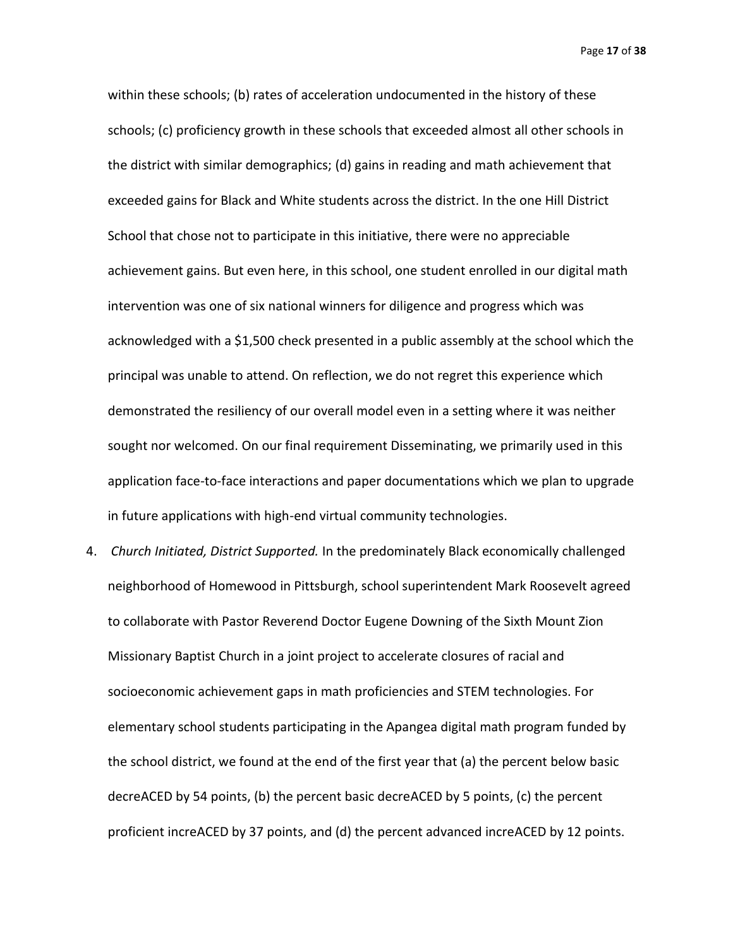Page **17** of **38**

within these schools; (b) rates of acceleration undocumented in the history of these schools; (c) proficiency growth in these schools that exceeded almost all other schools in the district with similar demographics; (d) gains in reading and math achievement that exceeded gains for Black and White students across the district. In the one Hill District School that chose not to participate in this initiative, there were no appreciable achievement gains. But even here, in this school, one student enrolled in our digital math intervention was one of six national winners for diligence and progress which was acknowledged with a \$1,500 check presented in a public assembly at the school which the principal was unable to attend. On reflection, we do not regret this experience which demonstrated the resiliency of our overall model even in a setting where it was neither sought nor welcomed. On our final requirement Disseminating, we primarily used in this application face-to-face interactions and paper documentations which we plan to upgrade in future applications with high-end virtual community technologies.

4. *Church Initiated, District Supported.* In the predominately Black economically challenged neighborhood of Homewood in Pittsburgh, school superintendent Mark Roosevelt agreed to collaborate with Pastor Reverend Doctor Eugene Downing of the Sixth Mount Zion Missionary Baptist Church in a joint project to accelerate closures of racial and socioeconomic achievement gaps in math proficiencies and STEM technologies. For elementary school students participating in the Apangea digital math program funded by the school district, we found at the end of the first year that (a) the percent below basic decreACED by 54 points, (b) the percent basic decreACED by 5 points, (c) the percent proficient increACED by 37 points, and (d) the percent advanced increACED by 12 points.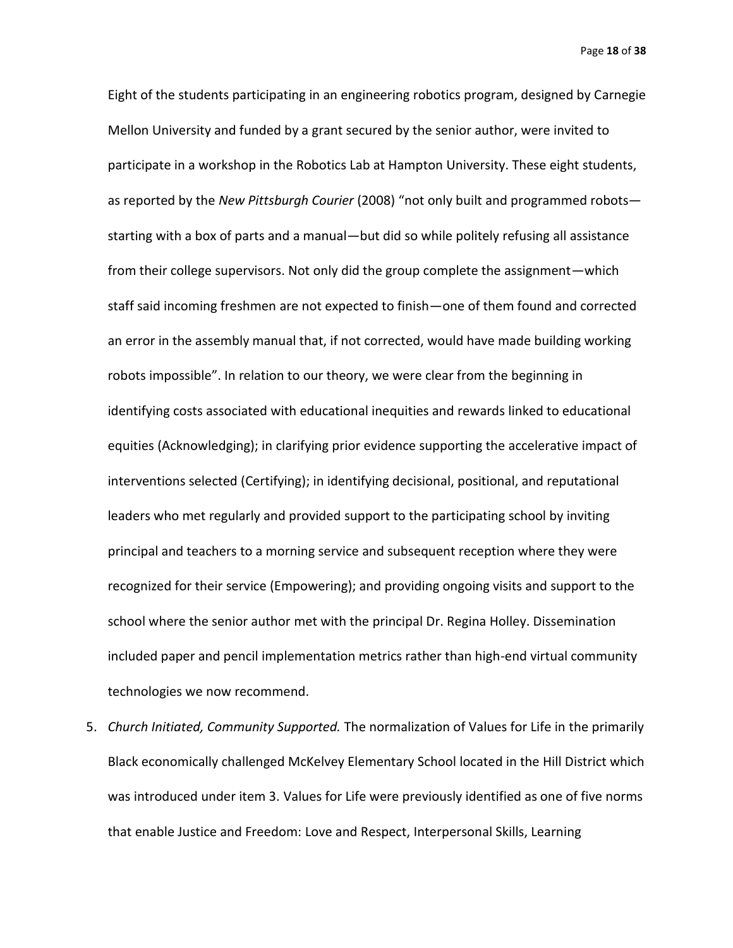Eight of the students participating in an engineering robotics program, designed by Carnegie Mellon University and funded by a grant secured by the senior author, were invited to participate in a workshop in the Robotics Lab at Hampton University. These eight students, as reported by the *New Pittsburgh Courier* (2008) "not only built and programmed robots starting with a box of parts and a manual—but did so while politely refusing all assistance from their college supervisors. Not only did the group complete the assignment—which staff said incoming freshmen are not expected to finish—one of them found and corrected an error in the assembly manual that, if not corrected, would have made building working robots impossible". In relation to our theory, we were clear from the beginning in identifying costs associated with educational inequities and rewards linked to educational equities (Acknowledging); in clarifying prior evidence supporting the accelerative impact of interventions selected (Certifying); in identifying decisional, positional, and reputational leaders who met regularly and provided support to the participating school by inviting principal and teachers to a morning service and subsequent reception where they were recognized for their service (Empowering); and providing ongoing visits and support to the school where the senior author met with the principal Dr. Regina Holley. Dissemination included paper and pencil implementation metrics rather than high-end virtual community technologies we now recommend.

5. *Church Initiated, Community Supported.* The normalization of Values for Life in the primarily Black economically challenged McKelvey Elementary School located in the Hill District which was introduced under item 3. Values for Life were previously identified as one of five norms that enable Justice and Freedom: Love and Respect, Interpersonal Skills, Learning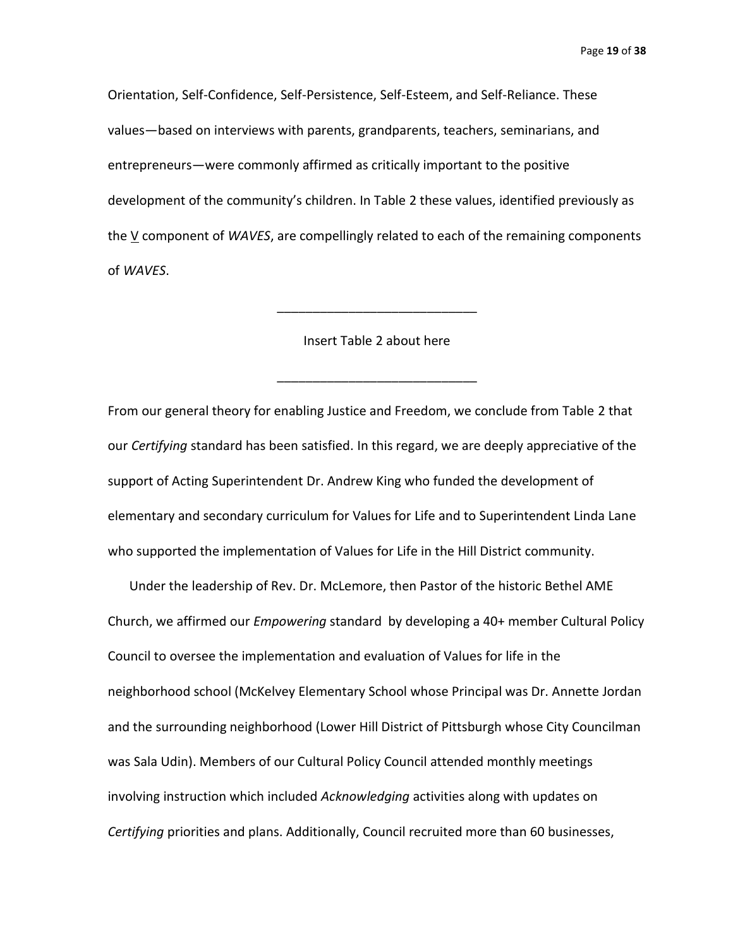Orientation, Self-Confidence, Self-Persistence, Self-Esteem, and Self-Reliance. These values—based on interviews with parents, grandparents, teachers, seminarians, and entrepreneurs—were commonly affirmed as critically important to the positive development of the community's children. In Table 2 these values, identified previously as the V component of *WAVES*, are compellingly related to each of the remaining components of *WAVES*.

#### Insert Table 2 about here

\_\_\_\_\_\_\_\_\_\_\_\_\_\_\_\_\_\_\_\_\_\_\_\_\_\_\_\_

\_\_\_\_\_\_\_\_\_\_\_\_\_\_\_\_\_\_\_\_\_\_\_\_\_\_\_\_

From our general theory for enabling Justice and Freedom, we conclude from Table 2 that our *Certifying* standard has been satisfied. In this regard, we are deeply appreciative of the support of Acting Superintendent Dr. Andrew King who funded the development of elementary and secondary curriculum for Values for Life and to Superintendent Linda Lane who supported the implementation of Values for Life in the Hill District community.

Under the leadership of Rev. Dr. McLemore, then Pastor of the historic Bethel AME Church, we affirmed our *Empowering* standard by developing a 40+ member Cultural Policy Council to oversee the implementation and evaluation of Values for life in the neighborhood school (McKelvey Elementary School whose Principal was Dr. Annette Jordan and the surrounding neighborhood (Lower Hill District of Pittsburgh whose City Councilman was Sala Udin). Members of our Cultural Policy Council attended monthly meetings involving instruction which included *Acknowledging* activities along with updates on *Certifying* priorities and plans. Additionally, Council recruited more than 60 businesses,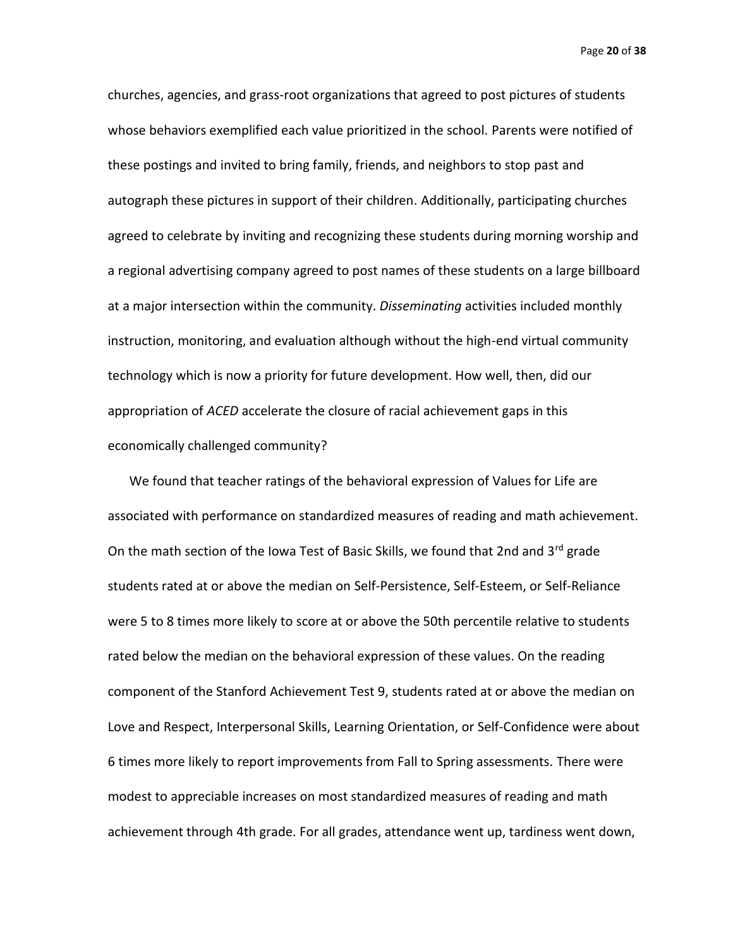Page **20** of **38**

churches, agencies, and grass-root organizations that agreed to post pictures of students whose behaviors exemplified each value prioritized in the school. Parents were notified of these postings and invited to bring family, friends, and neighbors to stop past and autograph these pictures in support of their children. Additionally, participating churches agreed to celebrate by inviting and recognizing these students during morning worship and a regional advertising company agreed to post names of these students on a large billboard at a major intersection within the community. *Disseminating* activities included monthly instruction, monitoring, and evaluation although without the high-end virtual community technology which is now a priority for future development. How well, then, did our appropriation of *ACED* accelerate the closure of racial achievement gaps in this economically challenged community?

We found that teacher ratings of the behavioral expression of Values for Life are associated with performance on standardized measures of reading and math achievement. On the math section of the Iowa Test of Basic Skills, we found that 2nd and 3<sup>rd</sup> grade students rated at or above the median on Self-Persistence, Self-Esteem, or Self-Reliance were 5 to 8 times more likely to score at or above the 50th percentile relative to students rated below the median on the behavioral expression of these values. On the reading component of the Stanford Achievement Test 9, students rated at or above the median on Love and Respect, Interpersonal Skills, Learning Orientation, or Self-Confidence were about 6 times more likely to report improvements from Fall to Spring assessments. There were modest to appreciable increases on most standardized measures of reading and math achievement through 4th grade. For all grades, attendance went up, tardiness went down,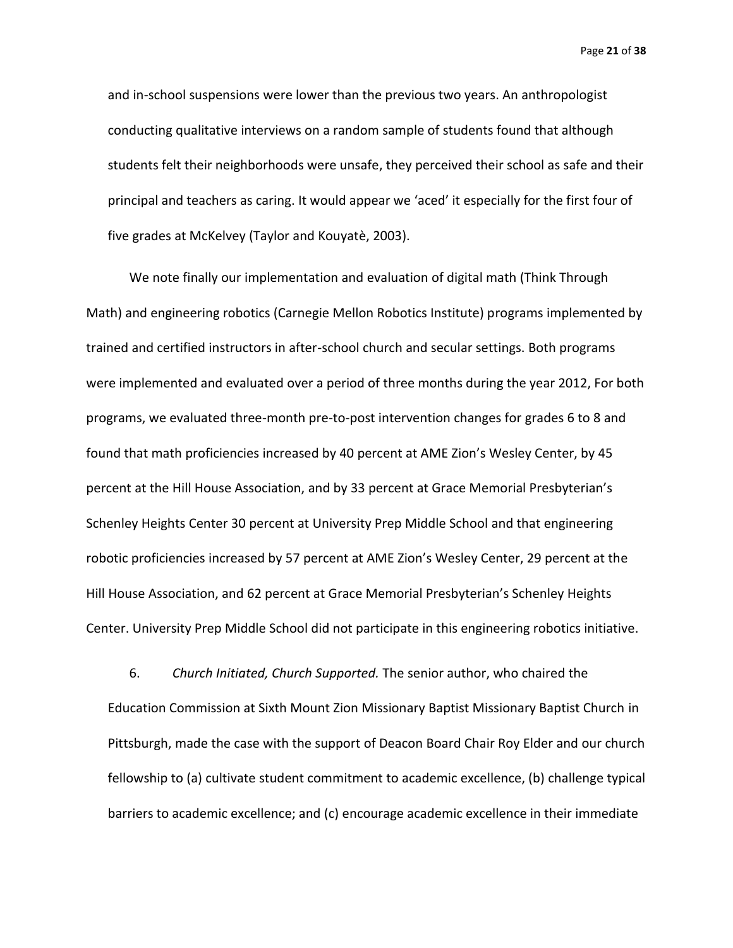Page **21** of **38**

and in-school suspensions were lower than the previous two years. An anthropologist conducting qualitative interviews on a random sample of students found that although students felt their neighborhoods were unsafe, they perceived their school as safe and their principal and teachers as caring. It would appear we 'aced' it especially for the first four of five grades at McKelvey (Taylor and Kouyatè, 2003).

We note finally our implementation and evaluation of digital math (Think Through Math) and engineering robotics (Carnegie Mellon Robotics Institute) programs implemented by trained and certified instructors in after-school church and secular settings. Both programs were implemented and evaluated over a period of three months during the year 2012, For both programs, we evaluated three-month pre-to-post intervention changes for grades 6 to 8 and found that math proficiencies increased by 40 percent at AME Zion's Wesley Center, by 45 percent at the Hill House Association, and by 33 percent at Grace Memorial Presbyterian's Schenley Heights Center 30 percent at University Prep Middle School and that engineering robotic proficiencies increased by 57 percent at AME Zion's Wesley Center, 29 percent at the Hill House Association, and 62 percent at Grace Memorial Presbyterian's Schenley Heights Center. University Prep Middle School did not participate in this engineering robotics initiative.

6. *Church Initiated, Church Supported.* The senior author, who chaired the Education Commission at Sixth Mount Zion Missionary Baptist Missionary Baptist Church in Pittsburgh, made the case with the support of Deacon Board Chair Roy Elder and our church fellowship to (a) cultivate student commitment to academic excellence, (b) challenge typical barriers to academic excellence; and (c) encourage academic excellence in their immediate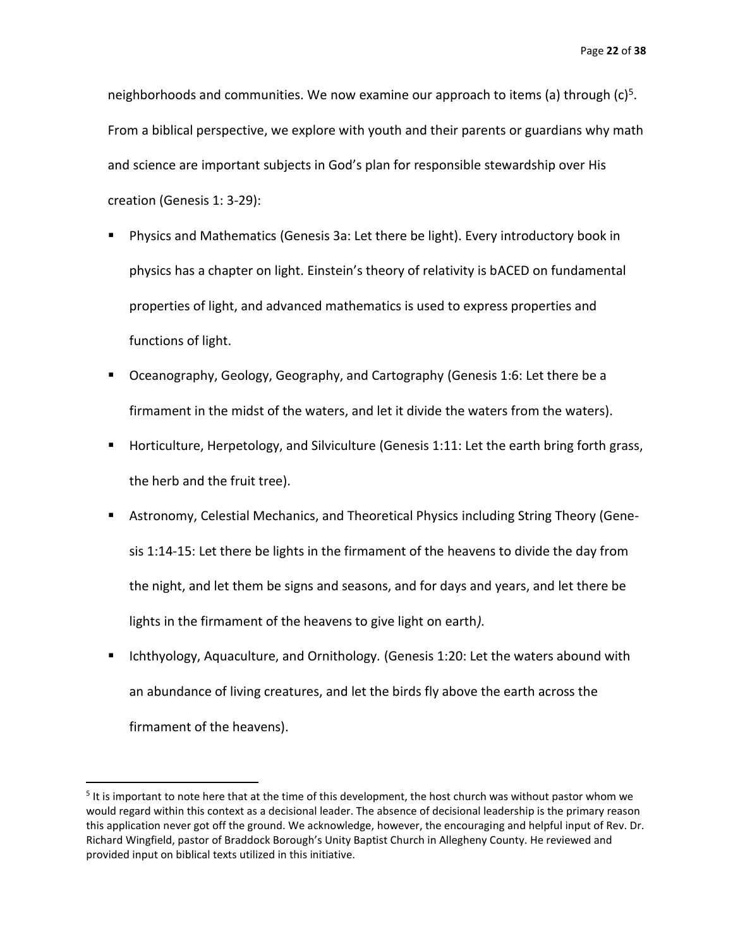neighborhoods and communities. We now examine our approach to items (a) through (c)<sup>5</sup>. From a biblical perspective, we explore with youth and their parents or guardians why math and science are important subjects in God's plan for responsible stewardship over His creation (Genesis 1: 3-29):

- Physics and Mathematics (Genesis 3a: Let there be light). Every introductory book in physics has a chapter on light. Einstein's theory of relativity is bACED on fundamental properties of light, and advanced mathematics is used to express properties and functions of light.
- Oceanography, Geology, Geography, and Cartography (Genesis 1:6: Let there be a firmament in the midst of the waters, and let it divide the waters from the waters).
- Horticulture, Herpetology, and Silviculture (Genesis 1:11: Let the earth bring forth grass, the herb and the fruit tree).
- Astronomy, Celestial Mechanics, and Theoretical Physics including String Theory (Genesis 1:14-15: Let there be lights in the firmament of the heavens to divide the day from the night, and let them be signs and seasons, and for days and years, and let there be lights in the firmament of the heavens to give light on earth*).*
- Ichthyology, Aquaculture, and Ornithology*.* (Genesis 1:20: Let the waters abound with an abundance of living creatures, and let the birds fly above the earth across the firmament of the heavens).

<sup>&</sup>lt;sup>5</sup> It is important to note here that at the time of this development, the host church was without pastor whom we would regard within this context as a decisional leader. The absence of decisional leadership is the primary reason this application never got off the ground. We acknowledge, however, the encouraging and helpful input of Rev. Dr. Richard Wingfield, pastor of Braddock Borough's Unity Baptist Church in Allegheny County. He reviewed and provided input on biblical texts utilized in this initiative.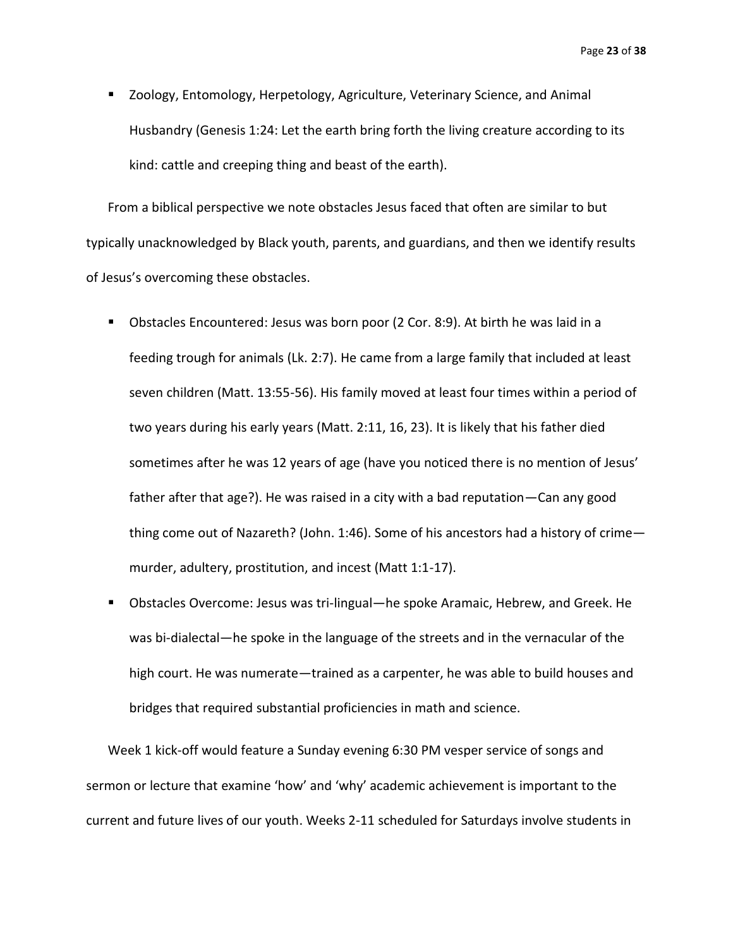Page **23** of **38**

■ Zoology, Entomology, Herpetology, Agriculture, Veterinary Science, and Animal Husbandry (Genesis 1:24: Let the earth bring forth the living creature according to its kind: cattle and creeping thing and beast of the earth).

From a biblical perspective we note obstacles Jesus faced that often are similar to but typically unacknowledged by Black youth, parents, and guardians, and then we identify results of Jesus's overcoming these obstacles.

- Obstacles Encountered: Jesus was born poor (2 Cor. 8:9). At birth he was laid in a feeding trough for animals (Lk. 2:7). He came from a large family that included at least seven children (Matt. 13:55-56). His family moved at least four times within a period of two years during his early years (Matt. 2:11, 16, 23). It is likely that his father died sometimes after he was 12 years of age (have you noticed there is no mention of Jesus' father after that age?). He was raised in a city with a bad reputation—Can any good thing come out of Nazareth? (John. 1:46). Some of his ancestors had a history of crime murder, adultery, prostitution, and incest (Matt 1:1-17).
- Obstacles Overcome: Jesus was tri-lingual—he spoke Aramaic, Hebrew, and Greek. He was bi-dialectal—he spoke in the language of the streets and in the vernacular of the high court. He was numerate—trained as a carpenter, he was able to build houses and bridges that required substantial proficiencies in math and science.

Week 1 kick-off would feature a Sunday evening 6:30 PM vesper service of songs and sermon or lecture that examine 'how' and 'why' academic achievement is important to the current and future lives of our youth. Weeks 2-11 scheduled for Saturdays involve students in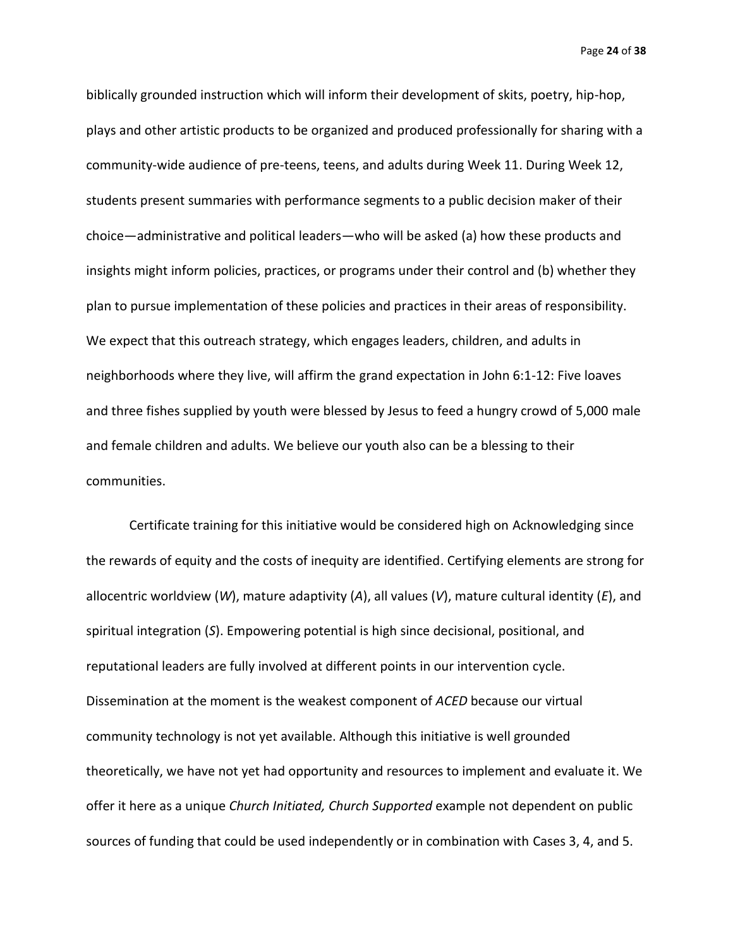Page **24** of **38**

biblically grounded instruction which will inform their development of skits, poetry, hip-hop, plays and other artistic products to be organized and produced professionally for sharing with a community-wide audience of pre-teens, teens, and adults during Week 11. During Week 12, students present summaries with performance segments to a public decision maker of their choice—administrative and political leaders—who will be asked (a) how these products and insights might inform policies, practices, or programs under their control and (b) whether they plan to pursue implementation of these policies and practices in their areas of responsibility. We expect that this outreach strategy, which engages leaders, children, and adults in neighborhoods where they live, will affirm the grand expectation in John 6:1-12: Five loaves and three fishes supplied by youth were blessed by Jesus to feed a hungry crowd of 5,000 male and female children and adults. We believe our youth also can be a blessing to their communities.

Certificate training for this initiative would be considered high on Acknowledging since the rewards of equity and the costs of inequity are identified. Certifying elements are strong for allocentric worldview (*W*), mature adaptivity (*A*), all values (*V*), mature cultural identity (*E*), and spiritual integration (*S*). Empowering potential is high since decisional, positional, and reputational leaders are fully involved at different points in our intervention cycle. Dissemination at the moment is the weakest component of *ACED* because our virtual community technology is not yet available. Although this initiative is well grounded theoretically, we have not yet had opportunity and resources to implement and evaluate it. We offer it here as a unique *Church Initiated, Church Supported* example not dependent on public sources of funding that could be used independently or in combination with Cases 3, 4, and 5.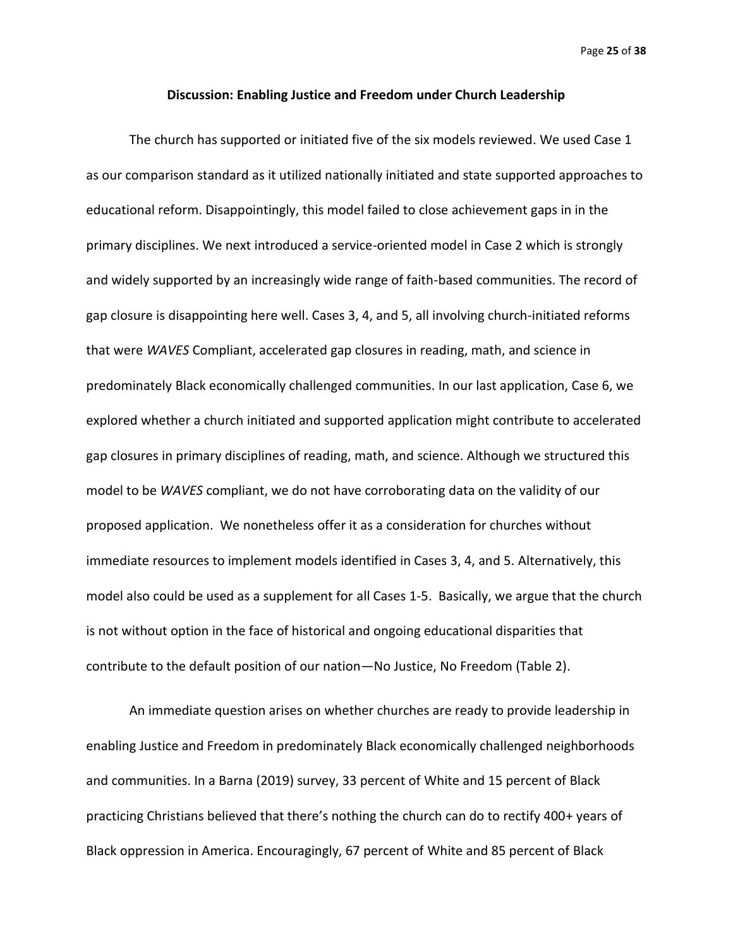Page **25** of **38**

#### **Discussion: Enabling Justice and Freedom under Church Leadership**

The church has supported or initiated five of the six models reviewed. We used Case 1 as our comparison standard as it utilized nationally initiated and state supported approaches to educational reform. Disappointingly, this model failed to close achievement gaps in in the primary disciplines. We next introduced a service-oriented model in Case 2 which is strongly and widely supported by an increasingly wide range of faith-based communities. The record of gap closure is disappointing here well. Cases 3, 4, and 5, all involving church-initiated reforms that were *WAVES* Compliant, accelerated gap closures in reading, math, and science in predominately Black economically challenged communities. In our last application, Case 6, we explored whether a church initiated and supported application might contribute to accelerated gap closures in primary disciplines of reading, math, and science. Although we structured this model to be *WAVES* compliant, we do not have corroborating data on the validity of our proposed application. We nonetheless offer it as a consideration for churches without immediate resources to implement models identified in Cases 3, 4, and 5. Alternatively, this model also could be used as a supplement for all Cases 1-5. Basically, we argue that the church is not without option in the face of historical and ongoing educational disparities that contribute to the default position of our nation—No Justice, No Freedom (Table 2).

An immediate question arises on whether churches are ready to provide leadership in enabling Justice and Freedom in predominately Black economically challenged neighborhoods and communities. In a Barna (2019) survey, 33 percent of White and 15 percent of Black practicing Christians believed that there's nothing the church can do to rectify 400+ years of Black oppression in America. Encouragingly, 67 percent of White and 85 percent of Black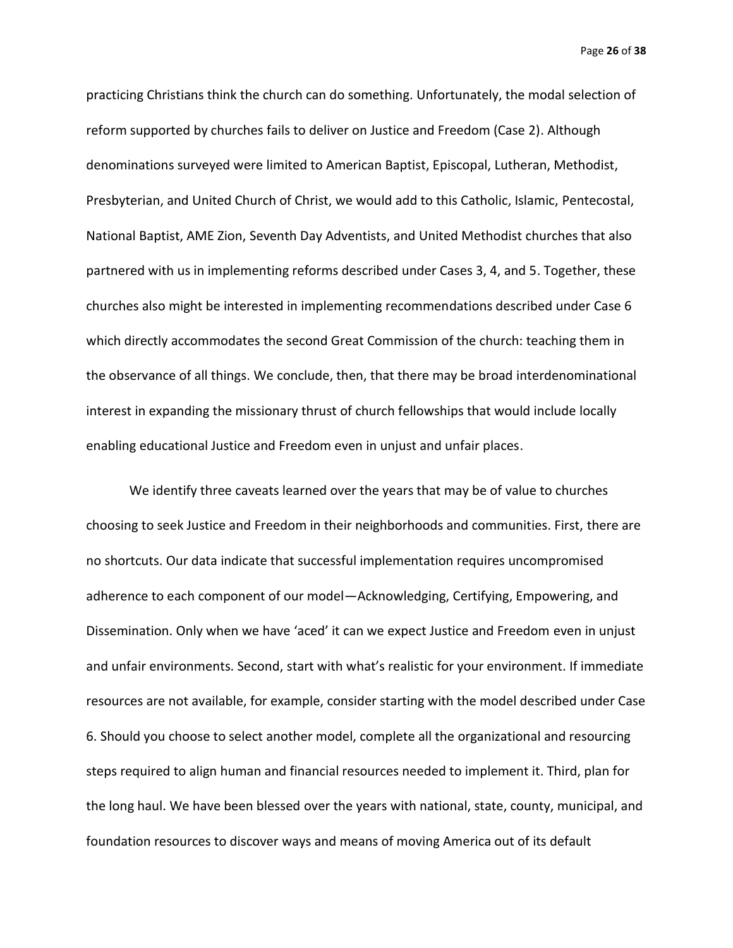Page **26** of **38**

practicing Christians think the church can do something. Unfortunately, the modal selection of reform supported by churches fails to deliver on Justice and Freedom (Case 2). Although denominations surveyed were limited to American Baptist, Episcopal, Lutheran, Methodist, Presbyterian, and United Church of Christ, we would add to this Catholic, Islamic, Pentecostal, National Baptist, AME Zion, Seventh Day Adventists, and United Methodist churches that also partnered with us in implementing reforms described under Cases 3, 4, and 5. Together, these churches also might be interested in implementing recommendations described under Case 6 which directly accommodates the second Great Commission of the church: teaching them in the observance of all things. We conclude, then, that there may be broad interdenominational interest in expanding the missionary thrust of church fellowships that would include locally enabling educational Justice and Freedom even in unjust and unfair places.

We identify three caveats learned over the years that may be of value to churches choosing to seek Justice and Freedom in their neighborhoods and communities. First, there are no shortcuts. Our data indicate that successful implementation requires uncompromised adherence to each component of our model—Acknowledging, Certifying, Empowering, and Dissemination. Only when we have 'aced' it can we expect Justice and Freedom even in unjust and unfair environments. Second, start with what's realistic for your environment. If immediate resources are not available, for example, consider starting with the model described under Case 6. Should you choose to select another model, complete all the organizational and resourcing steps required to align human and financial resources needed to implement it. Third, plan for the long haul. We have been blessed over the years with national, state, county, municipal, and foundation resources to discover ways and means of moving America out of its default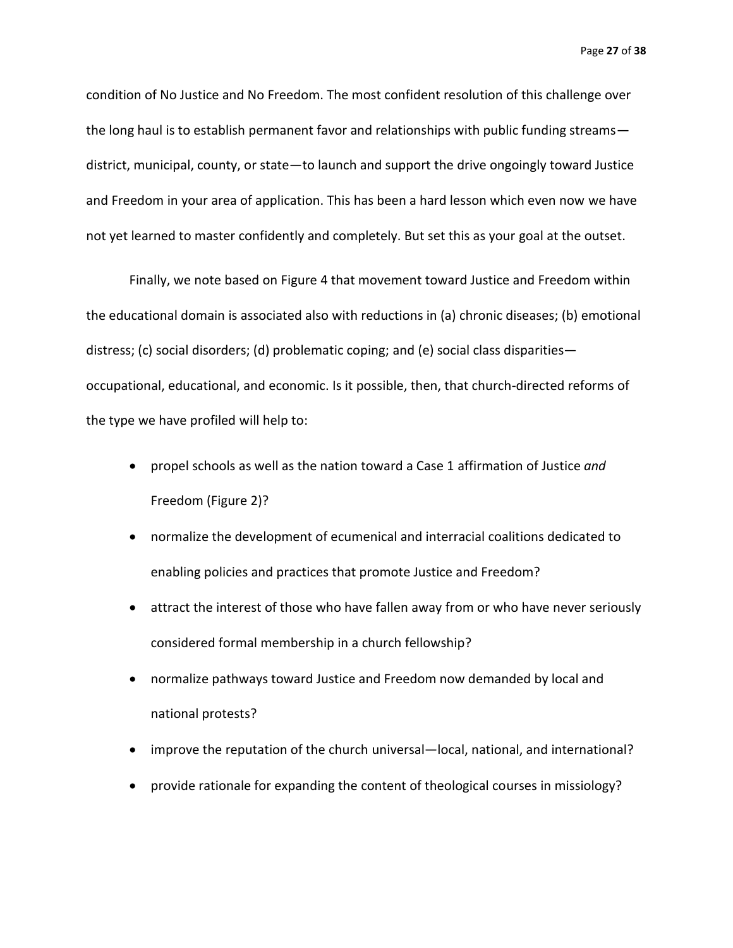condition of No Justice and No Freedom. The most confident resolution of this challenge over the long haul is to establish permanent favor and relationships with public funding streams district, municipal, county, or state—to launch and support the drive ongoingly toward Justice and Freedom in your area of application. This has been a hard lesson which even now we have not yet learned to master confidently and completely. But set this as your goal at the outset.

Finally, we note based on Figure 4 that movement toward Justice and Freedom within the educational domain is associated also with reductions in (a) chronic diseases; (b) emotional distress; (c) social disorders; (d) problematic coping; and (e) social class disparities occupational, educational, and economic. Is it possible, then, that church-directed reforms of the type we have profiled will help to:

- propel schools as well as the nation toward a Case 1 affirmation of Justice *and*  Freedom (Figure 2)?
- normalize the development of ecumenical and interracial coalitions dedicated to enabling policies and practices that promote Justice and Freedom?
- attract the interest of those who have fallen away from or who have never seriously considered formal membership in a church fellowship?
- normalize pathways toward Justice and Freedom now demanded by local and national protests?
- improve the reputation of the church universal—local, national, and international?
- provide rationale for expanding the content of theological courses in missiology?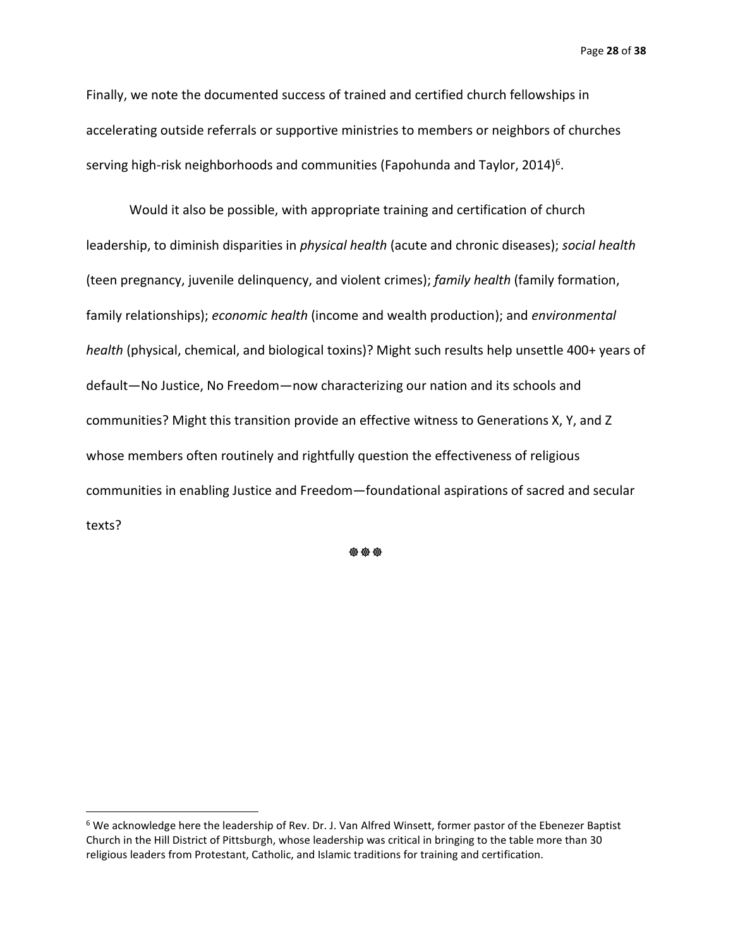Page **28** of **38**

Finally, we note the documented success of trained and certified church fellowships in accelerating outside referrals or supportive ministries to members or neighbors of churches serving high-risk neighborhoods and communities (Fapohunda and Taylor, 2014)<sup>6</sup>.

Would it also be possible, with appropriate training and certification of church leadership, to diminish disparities in *physical health* (acute and chronic diseases); *social health* (teen pregnancy, juvenile delinquency, and violent crimes); *family health* (family formation, family relationships); *economic health* (income and wealth production); and *environmental health* (physical, chemical, and biological toxins)? Might such results help unsettle 400+ years of default—No Justice, No Freedom—now characterizing our nation and its schools and communities? Might this transition provide an effective witness to Generations X, Y, and Z whose members often routinely and rightfully question the effectiveness of religious communities in enabling Justice and Freedom—foundational aspirations of sacred and secular texts?

\*\*\*

<sup>6</sup> We acknowledge here the leadership of Rev. Dr. J. Van Alfred Winsett, former pastor of the Ebenezer Baptist Church in the Hill District of Pittsburgh, whose leadership was critical in bringing to the table more than 30 religious leaders from Protestant, Catholic, and Islamic traditions for training and certification.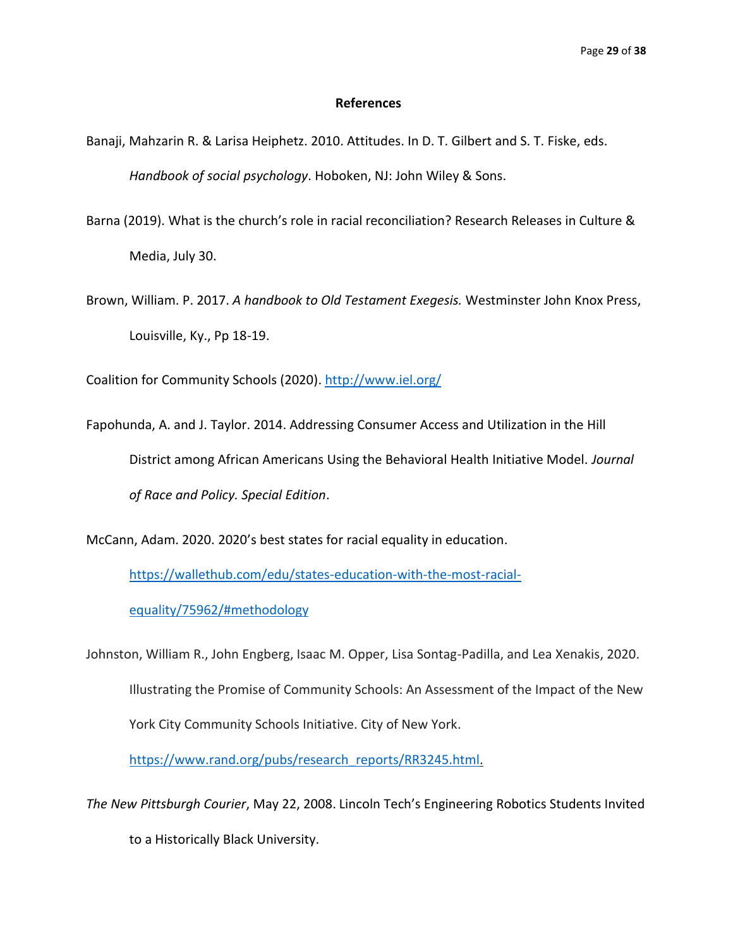#### **References**

- Banaji, Mahzarin R. & Larisa Heiphetz. 2010. Attitudes. In D. T. Gilbert and S. T. Fiske, eds. *Handbook of social psychology*. Hoboken, NJ: John Wiley & Sons.
- Barna (2019). What is the church's role in racial reconciliation? Research Releases in Culture & Media, July 30.
- Brown, William. P. 2017. *A handbook to Old Testament Exegesis.* Westminster John Knox Press, Louisville, Ky., Pp 18-19.

Coalition for Community Schools (2020).<http://www.iel.org/>

Fapohunda, A. and J. Taylor. 2014. Addressing Consumer Access and Utilization in the Hill District among African Americans Using the Behavioral Health Initiative Model. *Journal of Race and Policy. Special Edition*.

McCann, Adam. 2020. 2020's best states for racial equality in education.

[https://wallethub.com/edu/states-education-with-the-most-racial-](https://wallethub.com/edu/states-education-with-the-most-racial-equality/75962/#methodology)

[equality/75962/#methodology](https://wallethub.com/edu/states-education-with-the-most-racial-equality/75962/#methodology)

Johnston, William R., John Engberg, Isaac M. Opper, Lisa Sontag-Padilla, and Lea Xenakis, 2020. Illustrating the Promise of Community Schools: An Assessment of the Impact of the New York City Community Schools Initiative. City of New York.

[https://www.rand.org/pubs/research\\_reports/RR3245.html.](https://www.rand.org/pubs/research_reports/RR3245.html)

*The New Pittsburgh Courier*, May 22, 2008. Lincoln Tech's Engineering Robotics Students Invited to a Historically Black University.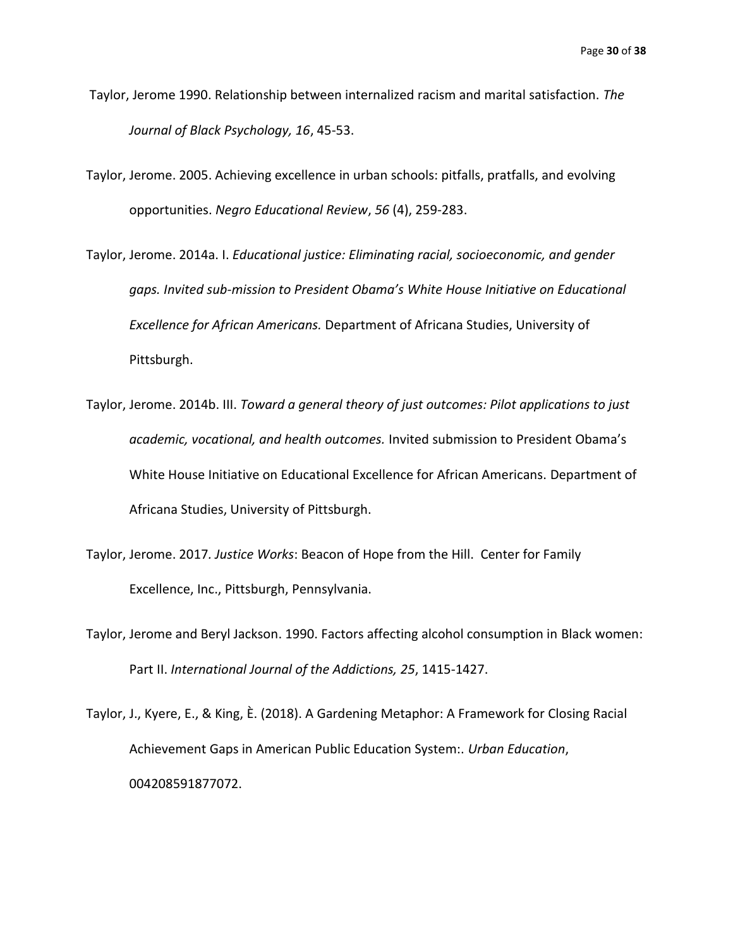- Taylor, Jerome 1990. Relationship between internalized racism and marital satisfaction. *The Journal of Black Psychology, 16*, 45-53.
- Taylor, Jerome. 2005. Achieving excellence in urban schools: pitfalls, pratfalls, and evolving opportunities. *Negro Educational Review*, *56* (4), 259-283.
- Taylor, Jerome. 2014a. I. *Educational justice: Eliminating racial, socioeconomic, and gender gaps. Invited sub-mission to President Obama's White House Initiative on Educational Excellence for African Americans.* Department of Africana Studies, University of Pittsburgh.
- Taylor, Jerome. 2014b. III. *Toward a general theory of just outcomes: Pilot applications to just academic, vocational, and health outcomes.* Invited submission to President Obama's White House Initiative on Educational Excellence for African Americans. Department of Africana Studies, University of Pittsburgh.
- Taylor, Jerome. 2017*. Justice Works*: Beacon of Hope from the Hill. Center for Family Excellence, Inc., Pittsburgh, Pennsylvania.
- Taylor, Jerome and Beryl Jackson. 1990. Factors affecting alcohol consumption in Black women: Part II. *International Journal of the Addictions, 25*, 1415-1427.
- Taylor, J., Kyere, E., & King, Ѐ. (2018). A Gardening Metaphor: A Framework for Closing Racial Achievement Gaps in American Public Education System:. *Urban Education*, 004208591877072.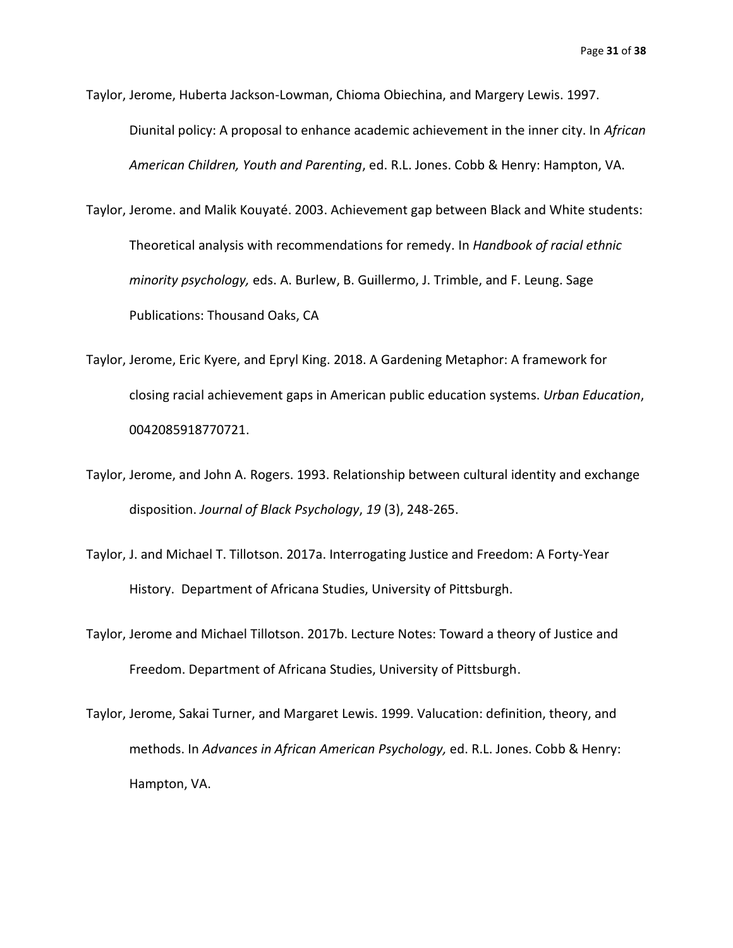Taylor, Jerome, Huberta Jackson-Lowman, Chioma Obiechina, and Margery Lewis. 1997. Diunital policy: A proposal to enhance academic achievement in the inner city. In *African American Children, Youth and Parenting*, ed. R.L. Jones. Cobb & Henry: Hampton, VA.

Taylor, Jerome. and Malik Kouyaté. 2003. Achievement gap between Black and White students: Theoretical analysis with recommendations for remedy. In *Handbook of racial ethnic minority psychology,* eds. A. Burlew, B. Guillermo, J. Trimble, and F. Leung. Sage Publications: Thousand Oaks, CA

- Taylor, Jerome, Eric Kyere, and Epryl King. 2018. A Gardening Metaphor: A framework for closing racial achievement gaps in American public education systems. *Urban Education*, 0042085918770721.
- Taylor, Jerome, and John A. Rogers. 1993. Relationship between cultural identity and exchange disposition. *Journal of Black Psychology*, *19* (3), 248-265.
- Taylor, J. and Michael T. Tillotson. 2017a. Interrogating Justice and Freedom: A Forty-Year History. Department of Africana Studies, University of Pittsburgh.
- Taylor, Jerome and Michael Tillotson. 2017b. Lecture Notes: Toward a theory of Justice and Freedom. Department of Africana Studies, University of Pittsburgh.
- Taylor, Jerome, Sakai Turner, and Margaret Lewis. 1999. Valucation: definition, theory, and methods. In *Advances in African American Psychology,* ed. R.L. Jones. Cobb & Henry: Hampton, VA.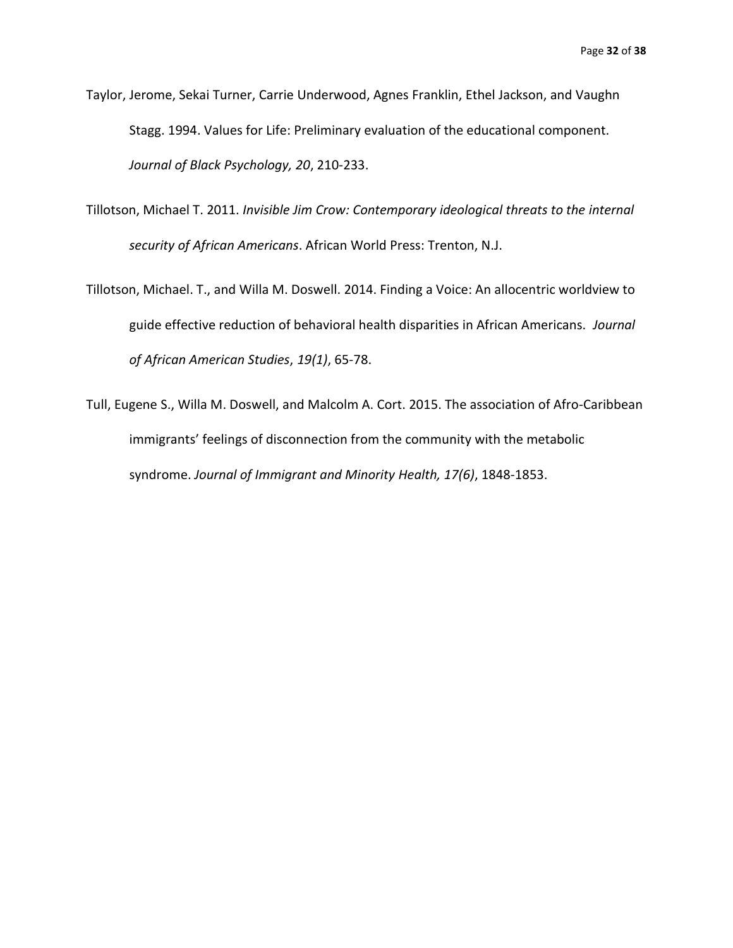- Taylor, Jerome, Sekai Turner, Carrie Underwood, Agnes Franklin, Ethel Jackson, and Vaughn Stagg. 1994. Values for Life: Preliminary evaluation of the educational component. *Journal of Black Psychology, 20*, 210-233.
- Tillotson, Michael T. 2011. *Invisible Jim Crow: Contemporary ideological threats to the internal security of African Americans*. African World Press: Trenton, N.J.
- Tillotson, Michael. T., and Willa M. Doswell. 2014. Finding a Voice: An allocentric worldview to guide effective reduction of behavioral health disparities in African Americans. *Journal of African American Studies*, *19(1)*, 65-78.
- Tull, Eugene S., Willa M. Doswell, and Malcolm A. Cort. 2015. The association of Afro-Caribbean immigrants' feelings of disconnection from the community with the metabolic syndrome. *Journal of Immigrant and Minority Health, 17(6)*, 1848-1853.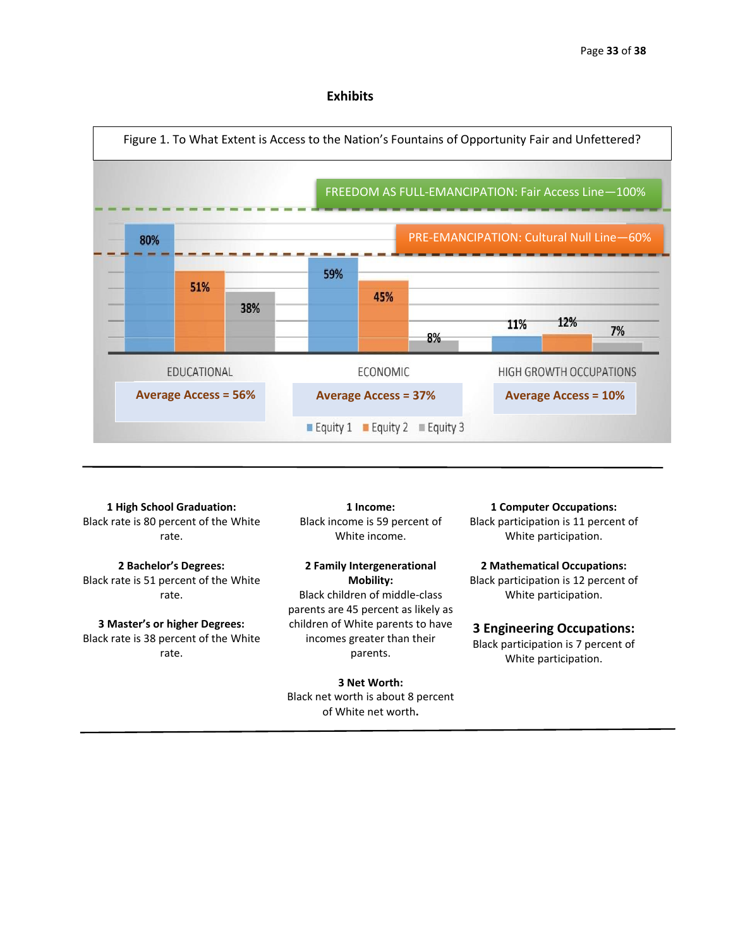### **Exhibits**



**1 High School Graduation:** Black rate is 80 percent of the White rate.

**2 Bachelor's Degrees:** Black rate is 51 percent of the White rate.

**3 Master's or higher Degrees:** Black rate is 38 percent of the White rate.

**1 Income:** Black income is 59 percent of White income.

**2 Family Intergenerational Mobility:** Black children of middle-class parents are 45 percent as likely as children of White parents to have incomes greater than their parents.

**3 Net Worth:** Black net worth is about 8 percent of White net worth**.**

**1 Computer Occupations:** Black participation is 11 percent of White participation.

**2 Mathematical Occupations:** Black participation is 12 percent of White participation.

#### **3 Engineering Occupations:**

Black participation is 7 percent of White participation.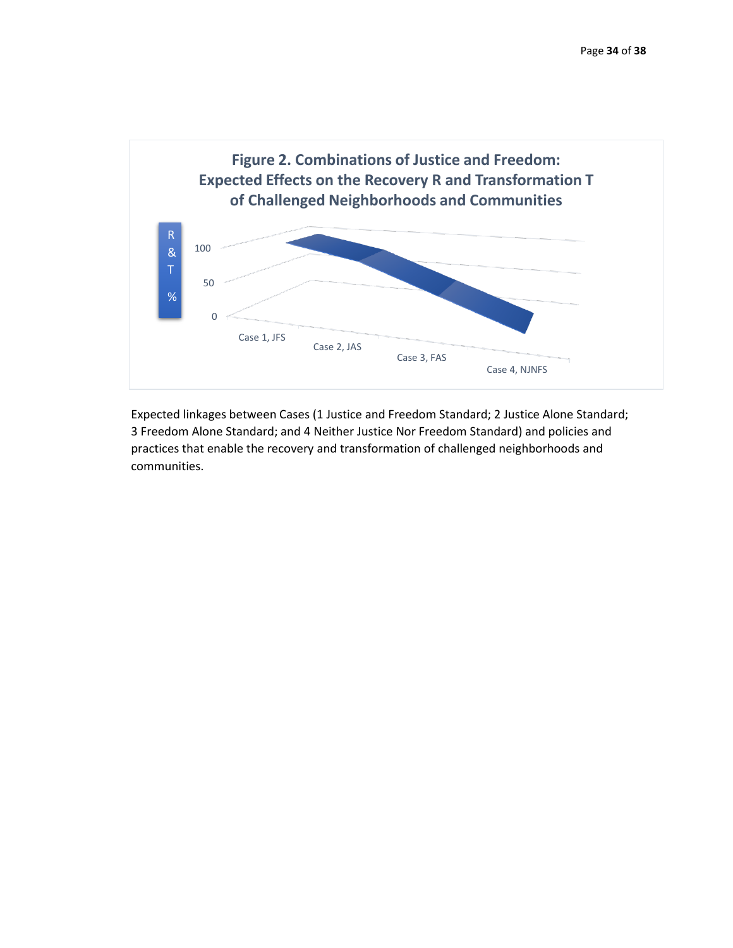

Expected linkages between Cases (1 Justice and Freedom Standard; 2 Justice Alone Standard; 3 Freedom Alone Standard; and 4 Neither Justice Nor Freedom Standard) and policies and practices that enable the recovery and transformation of challenged neighborhoods and communities.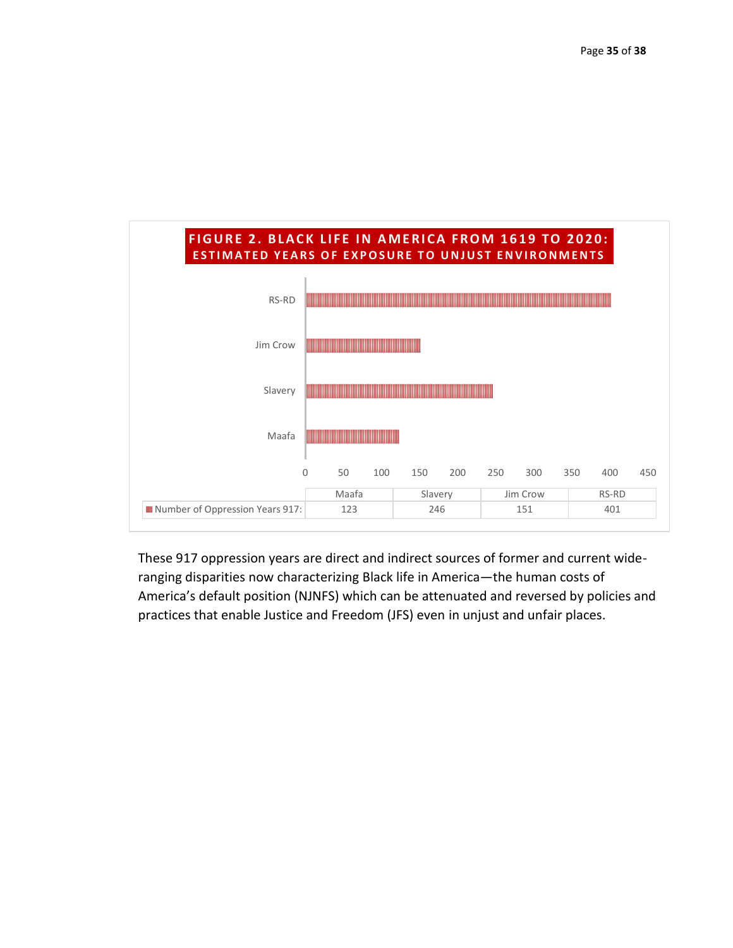

These 917 oppression years are direct and indirect sources of former and current wideranging disparities now characterizing Black life in America—the human costs of America's default position (NJNFS) which can be attenuated and reversed by policies and practices that enable Justice and Freedom (JFS) even in unjust and unfair places.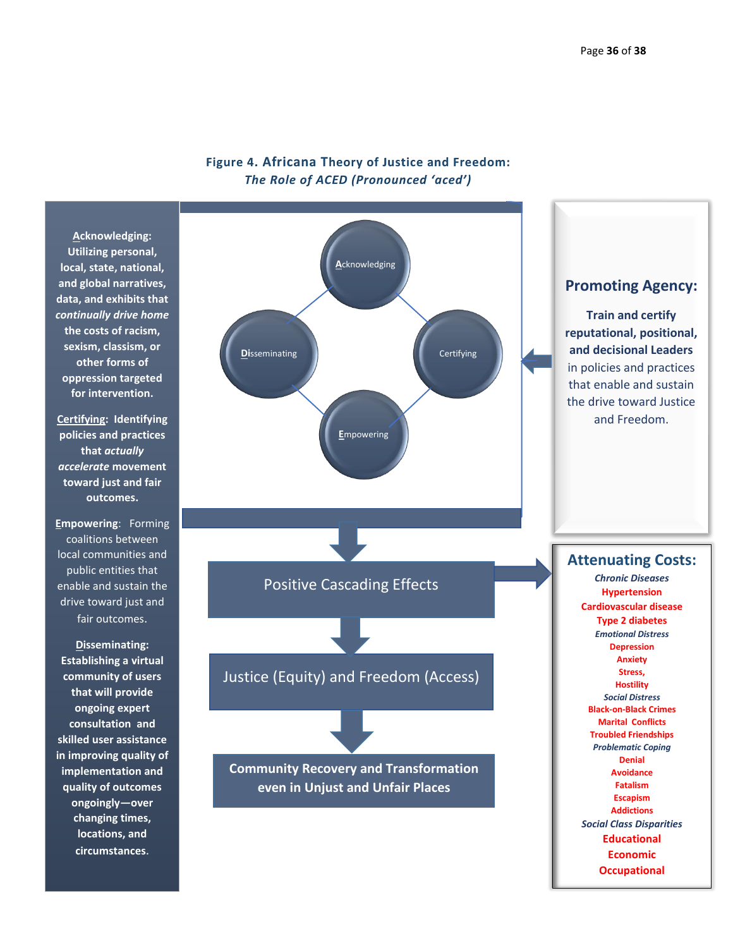**Occupational**



# **Figure 4. Africana Theory of Justice and Freedom:** *The Role of ACED (Pronounced 'aced')*

**Utilizing personal, local, state, national, and global narratives, data, and exhibits that**  *continually drive home* **the costs of racism, sexism, classism, or oppression targeted** 

**Certifying: Identifying policies and practices**  *accelerate* **movement toward just and fair** 

coalitions between local communities and public entities that enable and sustain the drive toward just and

**Establishing a virtual community of users that will provide consultation and skilled user assistance in improving quality of implementation and quality of outcomes ongoingly—over changing times,**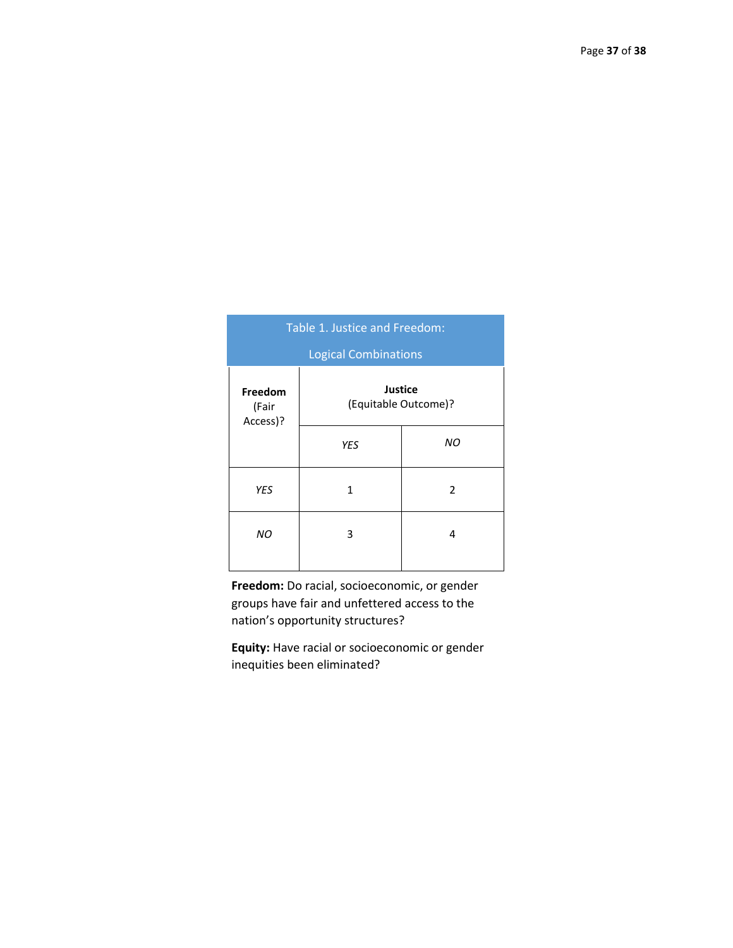| Table 1. Justice and Freedom: |                                        |                |  |  |  |  |
|-------------------------------|----------------------------------------|----------------|--|--|--|--|
| <b>Logical Combinations</b>   |                                        |                |  |  |  |  |
| Freedom<br>(Fair<br>Access)?  | <b>Justice</b><br>(Equitable Outcome)? |                |  |  |  |  |
|                               | <b>YES</b>                             | ΝO             |  |  |  |  |
| <b>YES</b>                    | 1                                      | $\overline{2}$ |  |  |  |  |
| ΝO                            | 3                                      | 4              |  |  |  |  |

**Freedom:** Do racial, socioeconomic, or gender groups have fair and unfettered access to the nation's opportunity structures?

**Equity:** Have racial or socioeconomic or gender inequities been eliminated?